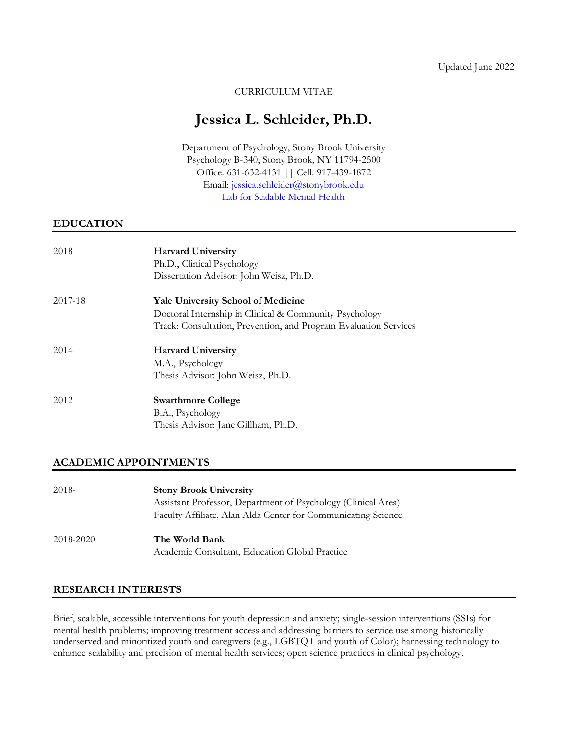# CURRICULUM VITAE

# **Jessica L. Schleider, Ph.D.**

Department of Psychology, Stony Brook University Psychology B-340, Stony Brook, NY 11794-2500 Office: 631-632-4131 || Cell: 917-439-1872 Email: [jessica.schleider@stonybrook.edu](mailto:jessica.schleider@stonybrook.edu) [Lab for Scalable Mental Health](http://www.schleiderlab.org/)

# **EDUCATION**

| 2018    | <b>Harvard University</b>                                        |
|---------|------------------------------------------------------------------|
|         | Ph.D., Clinical Psychology                                       |
|         | Dissertation Advisor: John Weisz, Ph.D.                          |
| 2017-18 | <b>Yale University School of Medicine</b>                        |
|         | Doctoral Internship in Clinical & Community Psychology           |
|         | Track: Consultation, Prevention, and Program Evaluation Services |
| 2014    | <b>Harvard University</b>                                        |
|         | M.A., Psychology                                                 |
|         | Thesis Advisor: John Weisz, Ph.D.                                |
| 2012    | <b>Swarthmore College</b>                                        |
|         | B.A., Psychology                                                 |
|         | Thesis Advisor: Jane Gillham, Ph.D.                              |

# **ACADEMIC APPOINTMENTS**

| $2018-$   | <b>Stony Brook University</b>                                 |
|-----------|---------------------------------------------------------------|
|           | Assistant Professor, Department of Psychology (Clinical Area) |
|           | Faculty Affiliate, Alan Alda Center for Communicating Science |
| 2018-2020 | The World Bank                                                |
|           | Academic Consultant, Education Global Practice                |

# **RESEARCH INTERESTS**

Brief, scalable, accessible interventions for youth depression and anxiety; single-session interventions (SSIs) for mental health problems; improving treatment access and addressing barriers to service use among historically underserved and minoritized youth and caregivers (e.g., LGBTQ+ and youth of Color); harnessing technology to enhance scalability and precision of mental health services; open science practices in clinical psychology.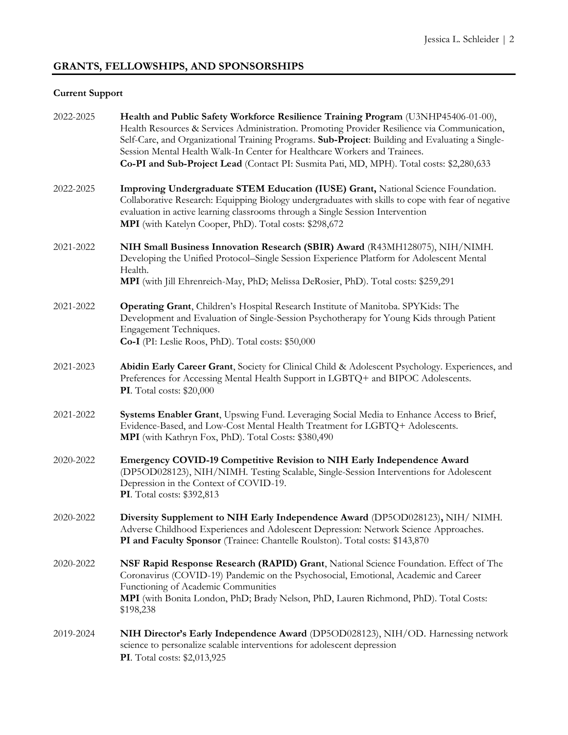# **GRANTS, FELLOWSHIPS, AND SPONSORSHIPS**

# **Current Support**

| 2022-2025 | Health and Public Safety Workforce Resilience Training Program (U3NHP45406-01-00),<br>Health Resources & Services Administration. Promoting Provider Resilience via Communication,<br>Self-Care, and Organizational Training Programs. Sub-Project: Building and Evaluating a Single-<br>Session Mental Health Walk-In Center for Healthcare Workers and Trainees.<br>Co-PI and Sub-Project Lead (Contact PI: Susmita Pati, MD, MPH). Total costs: \$2,280,633 |
|-----------|----------------------------------------------------------------------------------------------------------------------------------------------------------------------------------------------------------------------------------------------------------------------------------------------------------------------------------------------------------------------------------------------------------------------------------------------------------------|
| 2022-2025 | Improving Undergraduate STEM Education (IUSE) Grant, National Science Foundation.<br>Collaborative Research: Equipping Biology undergraduates with skills to cope with fear of negative<br>evaluation in active learning classrooms through a Single Session Intervention<br>MPI (with Katelyn Cooper, PhD). Total costs: \$298,672                                                                                                                            |
| 2021-2022 | NIH Small Business Innovation Research (SBIR) Award (R43MH128075), NIH/NIMH.<br>Developing the Unified Protocol–Single Session Experience Platform for Adolescent Mental<br>Health.<br>MPI (with Jill Ehrenreich-May, PhD; Melissa DeRosier, PhD). Total costs: \$259,291                                                                                                                                                                                      |
| 2021-2022 | Operating Grant, Children's Hospital Research Institute of Manitoba. SPYKids: The<br>Development and Evaluation of Single-Session Psychotherapy for Young Kids through Patient<br>Engagement Techniques.<br>Co-I (PI: Leslie Roos, PhD). Total costs: \$50,000                                                                                                                                                                                                 |
| 2021-2023 | Abidin Early Career Grant, Society for Clinical Child & Adolescent Psychology. Experiences, and<br>Preferences for Accessing Mental Health Support in LGBTQ+ and BIPOC Adolescents.<br><b>PI</b> . Total costs: \$20,000                                                                                                                                                                                                                                       |
| 2021-2022 | Systems Enabler Grant, Upswing Fund. Leveraging Social Media to Enhance Access to Brief,<br>Evidence-Based, and Low-Cost Mental Health Treatment for LGBTQ+ Adolescents.<br>MPI (with Kathryn Fox, PhD). Total Costs: \$380,490                                                                                                                                                                                                                                |
| 2020-2022 | Emergency COVID-19 Competitive Revision to NIH Early Independence Award<br>(DP5OD028123), NIH/NIMH. Testing Scalable, Single-Session Interventions for Adolescent<br>Depression in the Context of COVID-19.<br>PI. Total costs: \$392,813                                                                                                                                                                                                                      |
| 2020-2022 | Diversity Supplement to NIH Early Independence Award (DP5OD028123), NIH/NIMH.<br>Adverse Childhood Experiences and Adolescent Depression: Network Science Approaches.<br>PI and Faculty Sponsor (Trainee: Chantelle Roulston). Total costs: \$143,870                                                                                                                                                                                                          |
| 2020-2022 | NSF Rapid Response Research (RAPID) Grant, National Science Foundation. Effect of The<br>Coronavirus (COVID-19) Pandemic on the Psychosocial, Emotional, Academic and Career<br>Functioning of Academic Communities<br>MPI (with Bonita London, PhD; Brady Nelson, PhD, Lauren Richmond, PhD). Total Costs:<br>\$198,238                                                                                                                                       |
| 2019-2024 | NIH Director's Early Independence Award (DP5OD028123), NIH/OD. Harnessing network<br>science to personalize scalable interventions for adolescent depression<br>PI. Total costs: \$2,013,925                                                                                                                                                                                                                                                                   |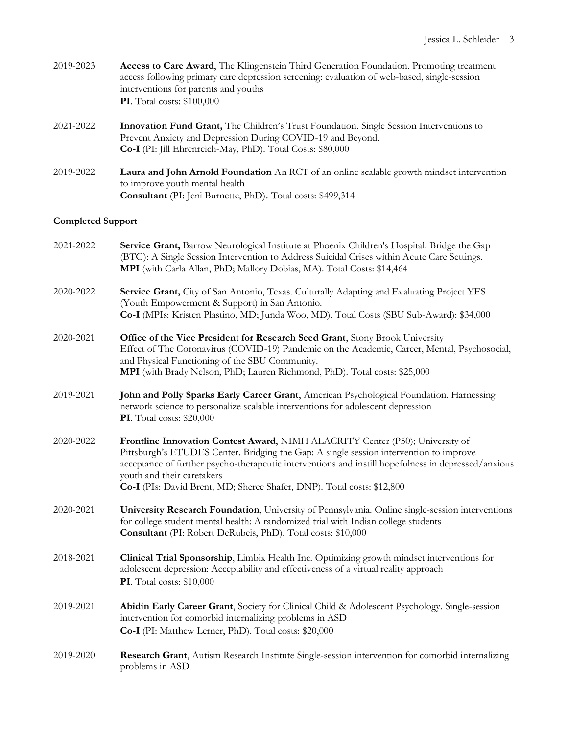| 2019-2023                | Access to Care Award, The Klingenstein Third Generation Foundation. Promoting treatment<br>access following primary care depression screening: evaluation of web-based, single-session<br>interventions for parents and youths<br><b>PI</b> . Total costs: \$100,000 |  |
|--------------------------|----------------------------------------------------------------------------------------------------------------------------------------------------------------------------------------------------------------------------------------------------------------------|--|
| 2021-2022                | <b>Innovation Fund Grant,</b> The Children's Trust Foundation. Single Session Interventions to<br>Prevent Anxiety and Depression During COVID-19 and Beyond.<br>Co-I (PI: Jill Ehrenreich-May, PhD). Total Costs: \$80,000                                           |  |
| 2019-2022                | Laura and John Arnold Foundation An RCT of an online scalable growth mindset intervention<br>to improve youth mental health<br>Consultant (PI: Jeni Burnette, PhD). Total costs: \$499,314                                                                           |  |
| <b>Completed Support</b> |                                                                                                                                                                                                                                                                      |  |
| 2021-2022                | Service Grant, Barrow Neurological Institute at Phoenix Children's Hospital. Bridge the Gap<br>(BTG): A Single Session Intervention to Address Suicidal Crises within Acute Care Settings.<br>MPI (with Carla Allan, PhD; Mallory Dobias, MA). Total Costs: \$14,464 |  |
| 2020-2022                | Service Grant, City of San Antonio, Texas. Culturally Adapting and Evaluating Project YES<br>(Youth Empowerment & Support) in San Antonio.                                                                                                                           |  |

- **Co-I** (MPIs: Kristen Plastino, MD; Junda Woo, MD). Total Costs (SBU Sub-Award): \$34,000
- 2020-2021 **Office of the Vice President for Research Seed Grant**, Stony Brook University Effect of The Coronavirus (COVID-19) Pandemic on the Academic, Career, Mental, Psychosocial, and Physical Functioning of the SBU Community. **MPI** (with Brady Nelson, PhD; Lauren Richmond, PhD). Total costs: \$25,000
- 2019-2021 **John and Polly Sparks Early Career Grant**, American Psychological Foundation. Harnessing network science to personalize scalable interventions for adolescent depression **PI**. Total costs: \$20,000
- 2020-2022 **Frontline Innovation Contest Award**, NIMH ALACRITY Center (P50); University of Pittsburgh's ETUDES Center. Bridging the Gap: A single session intervention to improve acceptance of further psycho-therapeutic interventions and instill hopefulness in depressed/anxious youth and their caretakers **Co-I** (PIs: David Brent, MD; Sheree Shafer, DNP). Total costs: \$12,800
- 2020-2021 **University Research Foundation**, University of Pennsylvania. Online single-session interventions for college student mental health: A randomized trial with Indian college students **Consultant** (PI: Robert DeRubeis, PhD). Total costs: \$10,000
- 2018-2021 **Clinical Trial Sponsorship**, Limbix Health Inc. Optimizing growth mindset interventions for adolescent depression: Acceptability and effectiveness of a virtual reality approach **PI**. Total costs: \$10,000
- 2019-2021 **Abidin Early Career Grant**, Society for Clinical Child & Adolescent Psychology. Single-session intervention for comorbid internalizing problems in ASD **Co-I** (PI: Matthew Lerner, PhD). Total costs: \$20,000
- 2019-2020 **Research Grant**, Autism Research Institute Single-session intervention for comorbid internalizing problems in ASD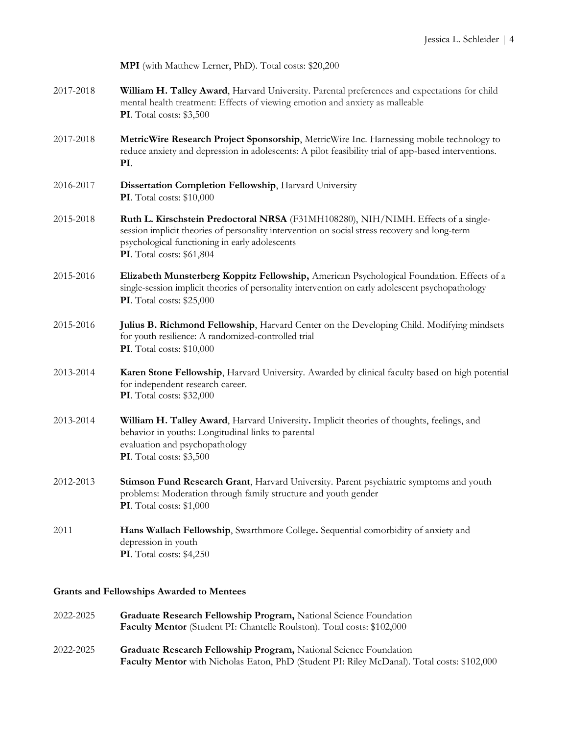| <b>MPI</b> (with Matthew Lerner, PhD). Total costs: \$20,200 |  |
|--------------------------------------------------------------|--|
|--------------------------------------------------------------|--|

- 2017-2018 **William H. Talley Award**, Harvard University. Parental preferences and expectations for child mental health treatment: Effects of viewing emotion and anxiety as malleable **PI**. Total costs: \$3,500
- 2017-2018 **MetricWire Research Project Sponsorship**, MetricWire Inc. Harnessing mobile technology to reduce anxiety and depression in adolescents: A pilot feasibility trial of app-based interventions. **PI**.
- 2016-2017 **Dissertation Completion Fellowship**, Harvard University **PI**. Total costs: \$10,000
- 2015-2018 **Ruth L. Kirschstein Predoctoral NRSA** (F31MH108280), NIH/NIMH. Effects of a singlesession implicit theories of personality intervention on social stress recovery and long-term psychological functioning in early adolescents **PI**. Total costs: \$61,804
- 2015-2016 **Elizabeth Munsterberg Koppitz Fellowship,** American Psychological Foundation. Effects of a single-session implicit theories of personality intervention on early adolescent psychopathology **PI**. Total costs: \$25,000
- 2015-2016 **Julius B. Richmond Fellowship**, Harvard Center on the Developing Child. Modifying mindsets for youth resilience: A randomized-controlled trial **PI**. Total costs: \$10,000
- 2013-2014 **Karen Stone Fellowship**, Harvard University. Awarded by clinical faculty based on high potential for independent research career. **PI**. Total costs: \$32,000
- 2013-2014 **William H. Talley Award**, Harvard University**.** Implicit theories of thoughts, feelings, and behavior in youths: Longitudinal links to parental evaluation and psychopathology **PI**. Total costs: \$3,500
- 2012-2013 **Stimson Fund Research Grant**, Harvard University. Parent psychiatric symptoms and youth problems: Moderation through family structure and youth gender **PI**. Total costs: \$1,000
- 2011 **Hans Wallach Fellowship**, Swarthmore College**.** Sequential comorbidity of anxiety and depression in youth **PI**. Total costs: \$4,250

# **Grants and Fellowships Awarded to Mentees**

- 2022-2025 **Graduate Research Fellowship Program,** National Science Foundation **Faculty Mentor** (Student PI: Chantelle Roulston). Total costs: \$102,000
- 2022-2025 **Graduate Research Fellowship Program,** National Science Foundation **Faculty Mentor** with Nicholas Eaton, PhD (Student PI: Riley McDanal). Total costs: \$102,000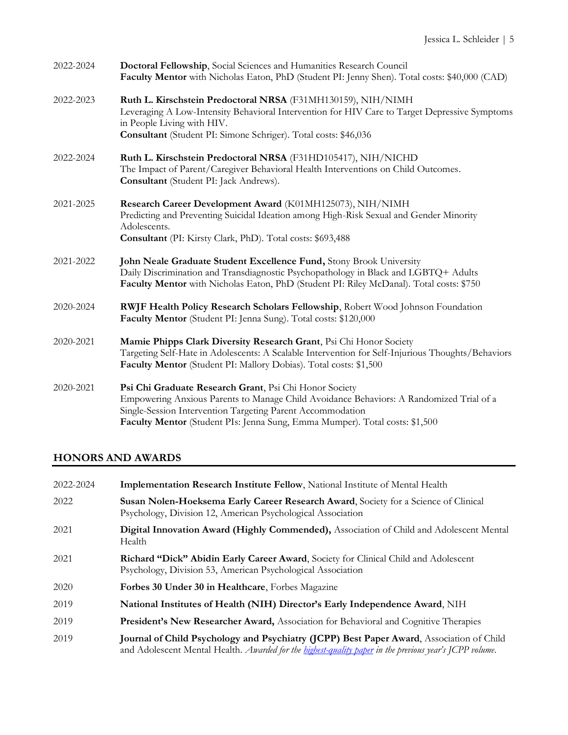| 2022-2024 | Doctoral Fellowship, Social Sciences and Humanities Research Council<br>Faculty Mentor with Nicholas Eaton, PhD (Student PI: Jenny Shen). Total costs: \$40,000 (CAD)                                                                                                                          |
|-----------|------------------------------------------------------------------------------------------------------------------------------------------------------------------------------------------------------------------------------------------------------------------------------------------------|
| 2022-2023 | Ruth L. Kirschstein Predoctoral NRSA (F31MH130159), NIH/NIMH<br>Leveraging A Low-Intensity Behavioral Intervention for HIV Care to Target Depressive Symptoms<br>in People Living with HIV.<br>Consultant (Student PI: Simone Schriger). Total costs: \$46,036                                 |
| 2022-2024 | Ruth L. Kirschstein Predoctoral NRSA (F31HD105417), NIH/NICHD<br>The Impact of Parent/Caregiver Behavioral Health Interventions on Child Outcomes.<br>Consultant (Student PI: Jack Andrews).                                                                                                   |
| 2021-2025 | Research Career Development Award (K01MH125073), NIH/NIMH<br>Predicting and Preventing Suicidal Ideation among High-Risk Sexual and Gender Minority<br>Adolescents.<br>Consultant (PI: Kirsty Clark, PhD). Total costs: \$693,488                                                              |
| 2021-2022 | John Neale Graduate Student Excellence Fund, Stony Brook University<br>Daily Discrimination and Transdiagnostic Psychopathology in Black and LGBTQ+ Adults<br>Faculty Mentor with Nicholas Eaton, PhD (Student PI: Riley McDanal). Total costs: \$750                                          |
| 2020-2024 | RWJF Health Policy Research Scholars Fellowship, Robert Wood Johnson Foundation<br>Faculty Mentor (Student PI: Jenna Sung). Total costs: \$120,000                                                                                                                                             |
| 2020-2021 | Mamie Phipps Clark Diversity Research Grant, Psi Chi Honor Society<br>Targeting Self-Hate in Adolescents: A Scalable Intervention for Self-Injurious Thoughts/Behaviors<br>Faculty Mentor (Student PI: Mallory Dobias). Total costs: \$1,500                                                   |
| 2020-2021 | Psi Chi Graduate Research Grant, Psi Chi Honor Society<br>Empowering Anxious Parents to Manage Child Avoidance Behaviors: A Randomized Trial of a<br>Single-Session Intervention Targeting Parent Accommodation<br>Faculty Mentor (Student PIs: Jenna Sung, Emma Mumper). Total costs: \$1,500 |

# **HONORS AND AWARDS**

| 2022-2024 | <b>Implementation Research Institute Fellow, National Institute of Mental Health</b>                                                                                                                |
|-----------|-----------------------------------------------------------------------------------------------------------------------------------------------------------------------------------------------------|
| 2022      | Susan Nolen-Hoeksema Early Career Research Award, Society for a Science of Clinical<br>Psychology, Division 12, American Psychological Association                                                  |
| 2021      | Digital Innovation Award (Highly Commended), Association of Child and Adolescent Mental<br>Health                                                                                                   |
| 2021      | Richard "Dick" Abidin Early Career Award, Society for Clinical Child and Adolescent<br>Psychology, Division 53, American Psychological Association                                                  |
| 2020      | Forbes 30 Under 30 in Healthcare, Forbes Magazine                                                                                                                                                   |
| 2019      | National Institutes of Health (NIH) Director's Early Independence Award, NIH                                                                                                                        |
| 2019      | President's New Researcher Award, Association for Behavioral and Cognitive Therapies                                                                                                                |
| 2019      | Journal of Child Psychology and Psychiatry (JCPP) Best Paper Award, Association of Child<br>and Adolescent Mental Health. Awarded for the highest-quality paper in the previous year's JCPP volume. |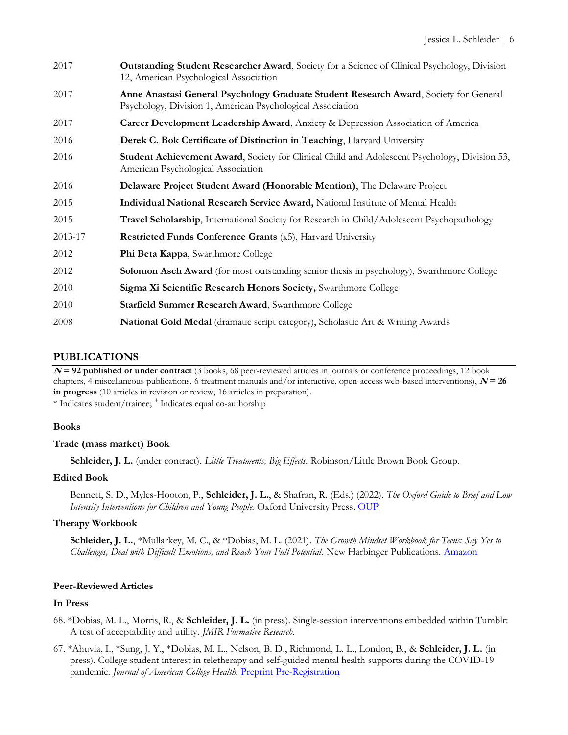| 2017    | <b>Outstanding Student Researcher Award, Society for a Science of Clinical Psychology, Division</b><br>12, American Psychological Association       |
|---------|-----------------------------------------------------------------------------------------------------------------------------------------------------|
| 2017    | Anne Anastasi General Psychology Graduate Student Research Award, Society for General<br>Psychology, Division 1, American Psychological Association |
| 2017    | Career Development Leadership Award, Anxiety & Depression Association of America                                                                    |
| 2016    | Derek C. Bok Certificate of Distinction in Teaching, Harvard University                                                                             |
| 2016    | Student Achievement Award, Society for Clinical Child and Adolescent Psychology, Division 53,<br>American Psychological Association                 |
| 2016    | Delaware Project Student Award (Honorable Mention), The Delaware Project                                                                            |
| 2015    | Individual National Research Service Award, National Institute of Mental Health                                                                     |
| 2015    | <b>Travel Scholarship</b> , International Society for Research in Child/Adolescent Psychopathology                                                  |
| 2013-17 | <b>Restricted Funds Conference Grants</b> (x5), Harvard University                                                                                  |
| 2012    | Phi Beta Kappa, Swarthmore College                                                                                                                  |
| 2012    | <b>Solomon Asch Award</b> (for most outstanding senior thesis in psychology), Swarthmore College                                                    |
| 2010    | Sigma Xi Scientific Research Honors Society, Swarthmore College                                                                                     |
| 2010    | Starfield Summer Research Award, Swarthmore College                                                                                                 |
| 2008    | National Gold Medal (dramatic script category), Scholastic Art & Writing Awards                                                                     |

# **PUBLICATIONS**

**<sup>N</sup>= 92 published or under contract** (3 books, 68 peer-reviewed articles in journals or conference proceedings, 12 book chapters, 4 miscellaneous publications, 6 treatment manuals and/or interactive, open-access web-based interventions),  $N = 26$ **in progress** (10 articles in revision or review, 16 articles in preparation).

\* Indicates student/trainee; <sup>+</sup>Indicates equal co-authorship

#### **Books**

#### **Trade (mass market) Book**

**Schleider, J. L.** (under contract). *Little Treatments, Big Effects.* Robinson/Little Brown Book Group.

#### **Edited Book**

Bennett, S. D., Myles-Hooton, P., **Schleider, J. L.**, & Shafran, R. (Eds.) (2022). *The Oxford Guide to Brief and Low Intensity Interventions for Children and Young People.* Oxford University Press. [OUP](https://global.oup.com/academic/product/oxford-guide-to-brief-and-low-intensity-interventions-for-children-and-young-people-9780198867791?cc=gb&lang=en&q=Aulus%20Gellius:%20Attic%20Nights)

# **Therapy Workbook**

**Schleider, J. L.**, \*Mullarkey, M. C., & \*Dobias, M. L. (2021). *The Growth Mindset Workbook for Teens: Say Yes to Challenges, Deal with Difficult Emotions, and Reach Your Full Potential.* New Harbinger Publications. [Amazon](https://www.amazon.com/Growth-Mindset-Workbook-Teens-Challenges-ebook/dp/B08GFG11GY)

#### **Peer-Reviewed Articles**

#### **In Press**

- 68. \*Dobias, M. L., Morris, R., & **Schleider, J. L.** (in press). Single-session interventions embedded within Tumblr: A test of acceptability and utility. *JMIR Formative Research.*
- 67. \*Ahuvia, I., \*Sung, J. Y., \*Dobias, M. L., Nelson, B. D., Richmond, L. L., London, B., & **Schleider, J. L.** (in press). College student interest in teletherapy and self-guided mental health supports during the COVID-19 pandemic. *Journal of American College Health*. [Preprint](https://psyarxiv.com/8unfx/) [Pre-Registration](https://osf.io/gvjrz)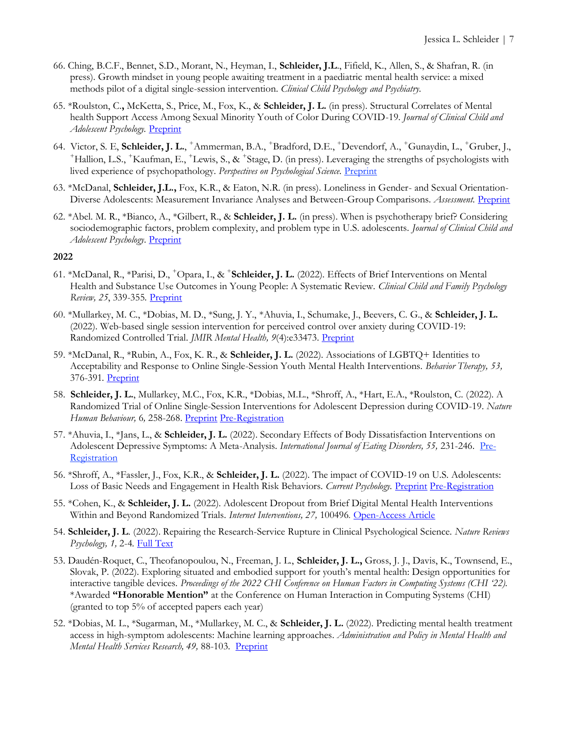- 66. Ching, B.C.F., Bennet, S.D., Morant, N., Heyman, I., **Schleider, J.L**., Fifield, K., Allen, S., & Shafran, R. (in press). Growth mindset in young people awaiting treatment in a paediatric mental health service: a mixed methods pilot of a digital single-session intervention. *Clinical Child Psychology and Psychiatry.*
- 65. \*Roulston, C.**,** McKetta, S., Price, M., Fox, K., & **Schleider, J. L.** (in press). Structural Correlates of Mental health Support Access Among Sexual Minority Youth of Color During COVID-19. *Journal of Clinical Child and Adolescent Psychology.* [Preprint](https://psyarxiv.com/n8tm7/)
- 64. Victor, S. E, **Schleider, J. L.**, <sup>+</sup>Ammerman, B.A., <sup>+</sup>Bradford, D.E., <sup>+</sup>Devendorf, A., <sup>+</sup>Gunaydin, L., <sup>+</sup>Gruber, J., <sup>+</sup>Hallion, L.S., <sup>+</sup>Kaufman, E., <sup>+</sup>Lewis, S., & <sup>+</sup>Stage, D. (in press). Leveraging the strengths of psychologists with lived experience of psychopathology. *Perspectives on Psychological Science.* [Preprint](https://psyarxiv.com/ksnfd/)
- 63. \*McDanal, **Schleider, J.L.,** Fox, K.R., & Eaton, N.R. (in press). Loneliness in Gender- and Sexual Orientation-Diverse Adolescents: Measurement Invariance Analyses and Between-Group Comparisons. *Assessment.* [Preprint](https://psyarxiv.com/mnv4h/)
- 62. \*Abel. M. R., \*Bianco, A., \*Gilbert, R., & **Schleider, J. L.** (in press). When is psychotherapy brief? Considering sociodemographic factors, problem complexity, and problem type in U.S. adolescents. *Journal of Clinical Child and Adolescent Psychology*. [Preprint](https://psyarxiv.com/a9wp2/)

- 61. \*McDanal, R., \*Parisi, D., <sup>+</sup>Opara, I., & <sup>+</sup> **Schleider, J. L.** (2022). Effects of Brief Interventions on Mental Health and Substance Use Outcomes in Young People: A Systematic Review. *Clinical Child and Family Psychology Review, 25*, 339-355*.* [Preprint](https://psyarxiv.com/dbtrk)
- 60. \*Mullarkey, M. C., \*Dobias, M. D., \*Sung, J. Y., \*Ahuvia, I., Schumake, J., Beevers, C. G., & **Schleider, J. L.**  (2022). Web-based single session intervention for perceived control over anxiety during COVID-19: Randomized Controlled Trial. *JMIR Mental Health, 9*(4):e33473*.* [Preprint](https://psyarxiv.com/qp7c2)
- 59. \*McDanal, R., \*Rubin, A., Fox, K. R., & **Schleider, J. L.** (2022). Associations of LGBTQ+ Identities to Acceptability and Response to Online Single-Session Youth Mental Health Interventions. *Behavior Therapy, 53,*  376-391*.* [Preprint](https://psyarxiv.com/v5tgc)
- 58. **Schleider, J. L.**, Mullarkey, M.C., Fox, K.R., \*Dobias, M.L., \*Shroff, A., \*Hart, E.A., \*Roulston, C. (2022). A Randomized Trial of Online Single-Session Interventions for Adolescent Depression during COVID-19. *Nature Human Behaviour,* 6*,* 258-268. [Preprint](https://psyarxiv.com/ved4p/) [Pre-Registration](https://osf.io/kumdv)
- 57. \*Ahuvia, I., \*Jans, L., & **Schleider, J. L.** (2022). Secondary Effects of Body Dissatisfaction Interventions on Adolescent Depressive Symptoms: A Meta-Analysis. *International Journal of Eating Disorders, 55*, 231-246. [Pre-](https://osf.io/3skcu)[Registration](https://osf.io/3skcu)
- 56. \*Shroff, A., \*Fassler, J., Fox, K.R., & **Schleider, J. L.** (2022). The impact of COVID-19 on U.S. Adolescents: Loss of Basic Needs and Engagement in Health Risk Behaviors. *Current Psychology.* [Preprint](https://psyarxiv.com/zbp7k) [Pre-Registration](https://osf.io/ak5cp)
- 55. \*Cohen, K., & **Schleider, J. L.** (2022). Adolescent Dropout from Brief Digital Mental Health Interventions Within and Beyond Randomized Trials. *Internet Interventions, 27,* 100496*.* [Open-Access Article](https://www.sciencedirect.com/science/article/pii/S2214782922000033?via%3Dihub)
- 54. **Schleider, J. L**. (2022). Repairing the Research-Service Rupture in Clinical Psychological Science. *Nature Reviews Psychology, 1,* 2-4*.* [Full Text](https://www.nature.com/articles/s44159-021-00005-z)
- 53. Daudén-Roquet, C., Theofanopoulou, N., Freeman, J. L., **Schleider, J. L.,** Gross, J. J., Davis, K., Townsend, E., Slovak, P. (2022). Exploring situated and embodied support for youth's mental health: Design opportunities for interactive tangible devices. *Proceedings of the 2022 CHI Conference on Human Factors in Computing Systems (CHI '22)*. \*Awarded **"Honorable Mention"** at the Conference on Human Interaction in Computing Systems (CHI) (granted to top 5% of accepted papers each year)
- 52. \*Dobias, M. L., \*Sugarman, M., \*Mullarkey, M. C., & **Schleider, J. L.** (2022). Predicting mental health treatment access in high-symptom adolescents: Machine learning approaches. *Administration and Policy in Mental Health and Mental Health Services Research, 49, 88-103.* [Preprint](https://psyarxiv.com/294ty)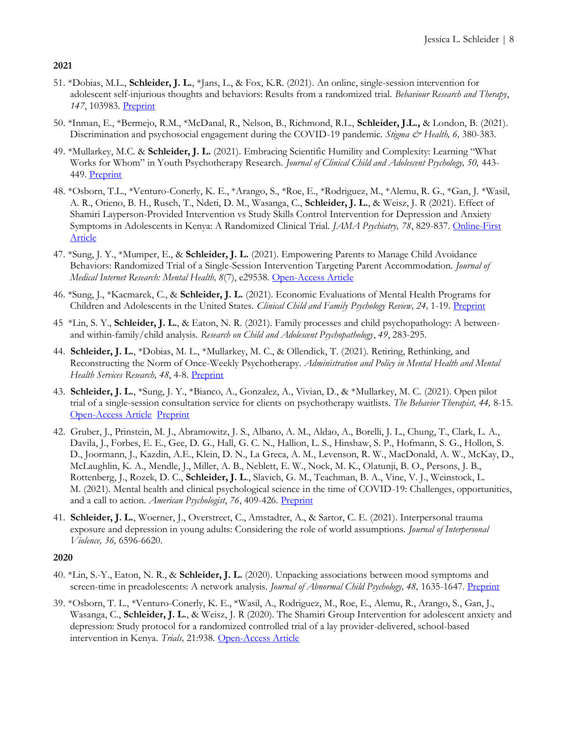- 51. \*Dobias, M.L., **Schleider, J. L.**, \*Jans, L., & Fox, K.R. (2021). An online, single-session intervention for adolescent self-injurious thoughts and behaviors: Results from a randomized trial. *Behaviour Research and Therapy*, 147, 103983. [Preprint](https://psyarxiv.com/jprcg)
- 50. \*Inman, E., \*Bermejo, R.M., \*McDanal, R., Nelson, B., Richmond, R.L., **Schleider, J.L.,** & London, B. (2021). Discrimination and psychosocial engagement during the COVID-19 pandemic. *Stigma & Health*, 6, 380-383.
- 49. \*Mullarkey, M.C. & **Schleider, J. L.** (2021). Embracing Scientific Humility and Complexity: Learning "What Works for Whom" in Youth Psychotherapy Research. *Journal of Clinical Child and Adolescent Psychology*, 50, 443-449. [Preprint](https://psyarxiv.com/2rf9a/)
- 48. \*Osborn, T.L., \*Venturo-Conerly, K. E., \*Arango, S., \*Roe, E., \*Rodriguez, M., \*Alemu, R. G., \*Gan, J. \*Wasil, A. R., Otieno, B. H., Rusch, T., Ndeti, D. M., Wasanga, C., **Schleider, J. L.**, & Weisz, J. R (2021). Effect of Shamiri Layperson-Provided Intervention vs Study Skills Control Intervention for Depression and Anxiety Symptoms in Adolescents in Kenya: A Randomized Clinical Trial. *JAMA Psychiatry, 78*, 829-837. [Online-First](https://jamanetwork.com/journals/jamapsychiatry/article-abstract/2780659)  [Article](https://jamanetwork.com/journals/jamapsychiatry/article-abstract/2780659)
- 47. \*Sung, J. Y., \*Mumper, E., & **Schleider, J. L.** (2021). Empowering Parents to Manage Child Avoidance Behaviors: Randomized Trial of a Single-Session Intervention Targeting Parent Accommodation. *Journal of Medical Internet Research: Mental Health, 8*(7), e29538. [Open-Access Article](https://mental.jmir.org/2021/7/e29538)
- 46. \*Sung, J., \*Kacmarek, C., & **Schleider, J. L.** (2021). Economic Evaluations of Mental Health Programs for Children and Adolescents in the United States. *Clinical Child and Family Psychology Review, 24,* 1-19. [Preprint](https://psyarxiv.com/mhe4w/)
- 45 \*Lin, S. Y., **Schleider, J. L.**, & Eaton, N. R. (2021). Family processes and child psychopathology: A betweenand within-family/child analysis. *Research on Child and Adolescent Psychopathology*, *49*, 283-295.
- 44. **Schleider, J. L.**, \*Dobias, M. L., \*Mullarkey, M. C., & Ollendick, T. (2021). Retiring, Rethinking, and Reconstructing the Norm of Once-Weekly Psychotherapy. *Administration and Policy in Mental Health and Mental Health Services Research, 48*, 4-8*.* [Preprint](https://psyarxiv.com/svbym/)
- 43. **Schleider, J. L.**, \*Sung, J. Y., \*Bianco, A., Gonzalez, A., Vivian, D., & \*Mullarkey, M. C. (2021). Open pilot trial of a single-session consultation service for clients on psychotherapy waitlists. *The Behavior Therapist, 44,* 8-15. [Open-Access Article](http://www.abct.org/docs/PastIssue/44n1.pdf) [Preprint](https://psyarxiv.com/fdwqk)
- 42. Gruber, J., Prinstein, M. J., Abramowitz, J. S., Albano, A. M., Aldao, A., Borelli, J. L., Chung, T., Clark, L. A., Davila, J., Forbes, E. E., Gee, D. G., Hall, G. C. N., Hallion, L. S., Hinshaw, S. P., Hofmann, S. G., Hollon, S. D., Joormann, J., Kazdin, A.E., Klein, D. N., La Greca, A. M., Levenson, R. W., MacDonald, A. W., McKay, D., McLaughlin, K. A., Mendle, J., Miller, A. B., Neblett, E. W., Nock, M. K., Olatunji, B. O., Persons, J. B., Rottenberg, J., Rozek, D. C., **Schleider, J. L**., Slavich, G. M., Teachman, B. A., Vine, V. J., Weinstock, L. M. (2021). Mental health and clinical psychological science in the time of COVID-19: Challenges, opportunities, and a call to action. *American Psychologist*, 76, 409-426. [Preprint](https://psyarxiv.com/desg9)
- 41. **Schleider, J. L.**, Woerner, J., Overstreet, C., Amstadter, A., & Sartor, C. E. (2021). Interpersonal trauma exposure and depression in young adults: Considering the role of world assumptions. *Journal of Interpersonal Violence, 36,* 6596-6620.

- 40. \*Lin, S.-Y., Eaton, N. R., & **Schleider, J. L.** (2020). Unpacking associations between mood symptoms and screen-time in preadolescents: A network analysis. *Journal of Abnormal Child Psychology, 48*, 1635-1647. [Preprint](http://psyarxiv.com/y8pbv/)
- 39. \*Osborn, T. L., \*Venturo-Conerly, K. E., \*Wasil, A., Rodriguez, M., Roe, E., Alemu, R., Arango, S., Gan, J., Wasanga, C., **Schleider, J. L.**, & Weisz, J. R (2020). The Shamiri Group Intervention for adolescent anxiety and depression: Study protocol for a randomized controlled trial of a lay provider-delivered, school-based intervention in Kenya. *Trials,* 21:938*.* [Open-Access Article](https://trialsjournal.biomedcentral.com/articles/10.1186/s13063-020-04732-1)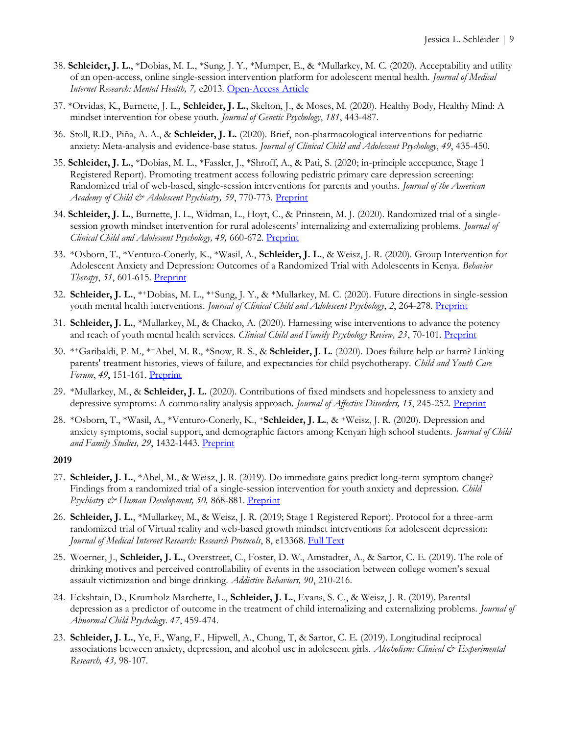- 38. **Schleider, J. L.**, \*Dobias, M. L., \*Sung, J. Y., \*Mumper, E., & \*Mullarkey, M. C. (2020). Acceptability and utility of an open-access, online single-session intervention platform for adolescent mental health. *Journal of Medical Internet Research: Mental Health, 7,* e2013*.* [Open-Access Article](https://mental.jmir.org/2020/6/e20513/)
- 37. \*Orvidas, K., Burnette, J. L., **Schleider, J. L.**, Skelton, J., & Moses, M. (2020). Healthy Body, Healthy Mind: A mindset intervention for obese youth. *Journal of Genetic Psychology*, *181*, 443-487.
- 36. Stoll, R.D., Piña, A. A., & **Schleider, J. L.** (2020). Brief, non-pharmacological interventions for pediatric anxiety: Meta-analysis and evidence-base status. *Journal of Clinical Child and Adolescent Psychology*, *49*, 435-450.
- 35. **Schleider, J. L.**, \*Dobias, M. L., \*Fassler, J., \*Shroff, A., & Pati, S. (2020; in-principle acceptance, Stage 1 Registered Report). Promoting treatment access following pediatric primary care depression screening: Randomized trial of web-based, single-session interventions for parents and youths. *Journal of the American Academy of Child & Adolescent Psychiatry, 59*, 770-773*.* [Preprint](https://osf.io/c639z/)
- 34. **Schleider, J. L.**, Burnette, J. L., Widman, L., Hoyt, C., & Prinstein, M. J. (2020). Randomized trial of a singlesession growth mindset intervention for rural adolescents' internalizing and externalizing problems. *Journal of Clinical Child and Adolescent Psychology, 49,* 660-672*.* [Preprint](http://weebly-file/2/1/8/4/21847128/schleider_et_al_2019_jccap_randomized_trial_of_a_single_session_growth_mind_set_intervention_for_rural_adolescents_internalizing_and_externalizing_problems.pdf)
- 33. \*Osborn, T., \*Venturo-Conerly, K., \*Wasil, A., **Schleider, J. L.**, & Weisz, J. R. (2020). Group Intervention for Adolescent Anxiety and Depression: Outcomes of a Randomized Trial with Adolescents in Kenya. *Behavior Therapy*, *51*, 601-615. [Preprint](https://psyarxiv.com/qp4ev/)
- 32. **Schleider, J. L.**, \*+Dobias, M. L., \*+Sung, J. Y., & \*Mullarkey, M. C. (2020). Future directions in single-session youth mental health interventions. *Journal of Clinical Child and Adolescent Psychology*, 2, 264-278. [Preprint](https://psyarxiv.com/m247u/)
- 31. **Schleider, J. L.**, \*Mullarkey, M., & Chacko, A. (2020). Harnessing wise interventions to advance the potency and reach of youth mental health services. *Clinical Child and Family Psychology Review, 23*, 70-101. [Preprint](https://psyarxiv.com/jhuvr)
- 30. \* <sup>+</sup>Garibaldi, P. M., \*+Abel, M. R., \*Snow, R. S., & **Schleider, J. L.** (2020). Does failure help or harm? Linking parents' treatment histories, views of failure, and expectancies for child psychotherapy. *Child and Youth Care Forum*, *49*, 151-161. [Preprint](http://www.schleiderlab.org/uploads/2/1/8/4/21847128/garibaldi_abel_et_al_2020_cycf.pdf)
- 29. \*Mullarkey, M., & **Schleider, J. L.** (2020). Contributions of fixed mindsets and hopelessness to anxiety and depressive symptoms: A commonality analysis approach. *Journal of Affective Disorders, 15*, 245-252[. Preprint](https://psyarxiv.com/qtrxs/)
- 28. \*Osborn, T., \*Wasil, A., \*Venturo-Conerly, K., +**Schleider, J. L.**, & +Weisz, J. R. (2020). Depression and anxiety symptoms, social support, and demographic factors among Kenyan high school students. *Journal of Child*  and Family Studies, 29, 1432-1443. [Preprint](https://psyarxiv.com/q5s63/)

- 27. **Schleider, J. L.**, \*Abel, M., & Weisz, J. R. (2019). Do immediate gains predict long-term symptom change? Findings from a randomized trial of a single-session intervention for youth anxiety and depression. *Child Psychiatry & Human Development, 50, 868-881.* Preprint
- 26. **Schleider, J. L.**, \*Mullarkey, M., & Weisz, J. R. (2019; Stage 1 Registered Report). Protocol for a three-arm randomized trial of Virtual reality and web-based growth mindset interventions for adolescent depression: *Journal of Medical Internet Research: Research Protocols*, 8, e13368. [Full Text](https://www.researchprotocols.org/2019/7/e13368/)
- 25. Woerner, J., **Schleider, J. L.**, Overstreet, C., Foster, D. W., Amstadter, A., & Sartor, C. E. (2019). The role of drinking motives and perceived controllability of events in the association between college women's sexual assault victimization and binge drinking. *Addictive Behaviors, 90*, 210-216.
- 24. Eckshtain, D., Krumholz Marchette, L., **Schleider, J. L.**, Evans, S. C., & Weisz, J. R. (2019). Parental depression as a predictor of outcome in the treatment of child internalizing and externalizing problems. *Journal of Abnormal Child Psychology*. *47*, 459-474.
- 23. **Schleider, J. L.**, Ye, F., Wang, F., Hipwell, A., Chung, T, & Sartor, C. E. (2019). Longitudinal reciprocal associations between anxiety, depression, and alcohol use in adolescent girls. *Alcoholism: Clinical & Experimental Research, 43,* 98-107.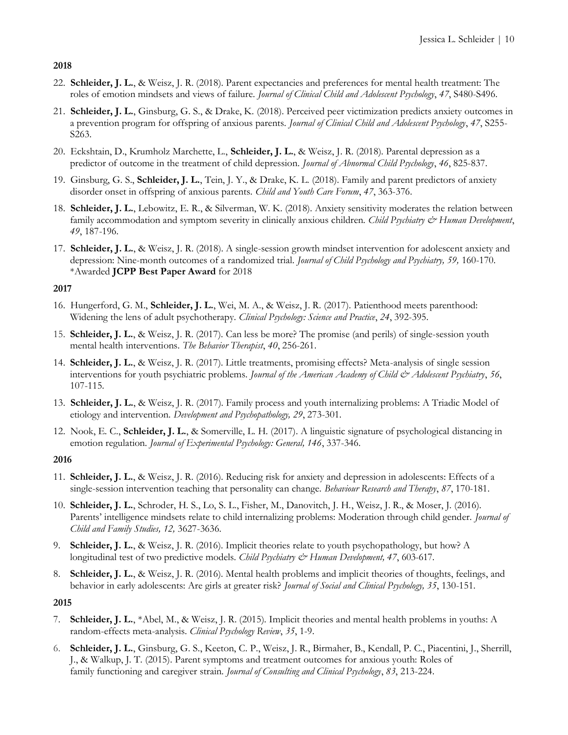- 22. **Schleider, J. L.**, & Weisz, J. R. (2018). Parent expectancies and preferences for mental health treatment: The roles of emotion mindsets and views of failure. *Journal of Clinical Child and Adolescent Psychology*, *47*, S480-S496.
- 21. **Schleider, J. L.**, Ginsburg, G. S., & Drake, K. (2018). Perceived peer victimization predicts anxiety outcomes in a prevention program for offspring of anxious parents. *Journal of Clinical Child and Adolescent Psychology*, *47*, S255- S263.
- 20. Eckshtain, D., Krumholz Marchette, L., **Schleider, J. L.**, & Weisz, J. R. (2018). Parental depression as a predictor of outcome in the treatment of child depression. *Journal of Abnormal Child Psychology*, *46*, 825-837.
- 19. Ginsburg, G. S., **Schleider, J. L.**, Tein, J. Y., & Drake, K. L. (2018). Family and parent predictors of anxiety disorder onset in offspring of anxious parents. *Child and Youth Care Forum*, *47*, 363-376.
- 18. **Schleider, J. L.**, Lebowitz, E. R., & Silverman, W. K. (2018). Anxiety sensitivity moderates the relation between family accommodation and symptom severity in clinically anxious children. *Child Psychiatry & Human Development*, *49*, 187-196.
- 17. **Schleider, J. L.**, & Weisz, J. R. (2018). A single-session growth mindset intervention for adolescent anxiety and depression: Nine-month outcomes of a randomized trial. *Journal of Child Psychology and Psychiatry, 59,* 160-170. \*Awarded **JCPP Best Paper Award** for 2018

# **2017**

- 16. Hungerford, G. M., **Schleider, J. L.**, Wei, M. A., & Weisz, J. R. (2017). Patienthood meets parenthood: Widening the lens of adult psychotherapy. *Clinical Psychology: Science and Practice*, *24*, 392-395.
- 15. **Schleider, J. L.**, & Weisz, J. R. (2017). Can less be more? The promise (and perils) of single-session youth mental health interventions. *The Behavior Therapist*, *40*, 256-261.
- 14. **Schleider, J. L.**, & Weisz, J. R. (2017). Little treatments, promising effects? Meta-analysis of single session interventions for youth psychiatric problems. *Journal of the American Academy of Child & Adolescent Psychiatry*, *56*, 107-115.
- 13. **Schleider, J. L.**, & Weisz, J. R. (2017). Family process and youth internalizing problems: A Triadic Model of etiology and intervention. *Development and Psychopathology, 29*, 273-301.
- 12. Nook, E. C., **Schleider, J. L.**, & Somerville, L. H. (2017). A linguistic signature of psychological distancing in emotion regulation. *Journal of Experimental Psychology: General, 146*, 337-346.

# **2016**

- 11. **Schleider, J. L.**, & Weisz, J. R. (2016). Reducing risk for anxiety and depression in adolescents: Effects of a single-session intervention teaching that personality can change. *Behaviour Research and Therapy*, *87*, 170-181.
- 10. **Schleider, J. L.**, Schroder, H. S., Lo, S. L., Fisher, M., Danovitch, J. H., Weisz, J. R., & Moser, J. (2016). Parents' intelligence mindsets relate to child internalizing problems: Moderation through child gender. *Journal of Child and Family Studies, 12,* 3627-3636.
- 9. **Schleider, J. L.**, & Weisz, J. R. (2016). Implicit theories relate to youth psychopathology, but how? A longitudinal test of two predictive models. *Child Psychiatry & Human Development, 47*, 603-617.
- 8. **Schleider, J. L.**, & Weisz, J. R. (2016). Mental health problems and implicit theories of thoughts, feelings, and behavior in early adolescents: Are girls at greater risk? *Journal of Social and Clinical Psychology, 35*, 130-151.

- 7. **Schleider, J. L.**, \*Abel, M., & Weisz, J. R. (2015). Implicit theories and mental health problems in youths: A random-effects meta-analysis. *Clinical Psychology Review*, *35*, 1-9.
- 6. **Schleider, J. L.**, Ginsburg, G. S., Keeton, C. P., Weisz, J. R., Birmaher, B., Kendall, P. C., Piacentini, J., Sherrill, J., & Walkup, J. T. (2015). Parent symptoms and treatment outcomes for anxious youth: Roles of family functioning and caregiver strain. *Journal of Consulting and Clinical Psychology*, *83*, 213-224.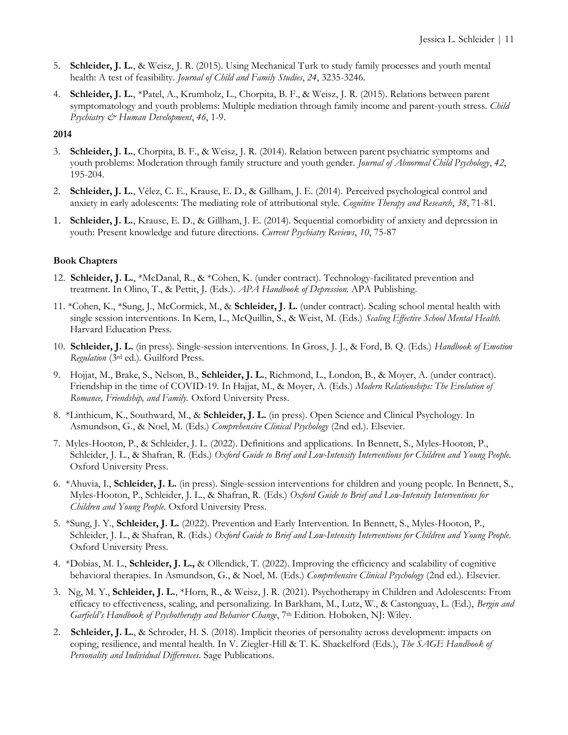- 5. **Schleider, J. L.**, & Weisz, J. R. (2015). Using Mechanical Turk to study family processes and youth mental health: A test of feasibility. *Journal of Child and Family Studies*, *24*, 3235-3246.
- 4. **Schleider, J. L.**, \*Patel, A., Krumholz, L., Chorpita, B. F., & Weisz, J. R. (2015). Relations between parent symptomatology and youth problems: Multiple mediation through family income and parent-youth stress. *Child Psychiatry & Human Development*, *46*, 1-9.

- 3. **Schleider, J. L.**, Chorpita, B. F., & Weisz, J. R. (2014). Relation between parent psychiatric symptoms and youth problems: Moderation through family structure and youth gender. *Journal of Abnormal Child Psychology*, *42*, 195-204.
- 2. **Schleider, J. L.**, Vélez, C. E., Krause, E. D., & Gillham, J. E. (2014). Perceived psychological control and anxiety in early adolescents: The mediating role of attributional style. *Cognitive Therapy and Research*, *38*, 71-81*.*
- 1. **Schleider, J. L.**, Krause, E. D., & Gillham, J. E. (2014). Sequential comorbidity of anxiety and depression in youth: Present knowledge and future directions. *Current Psychiatry Reviews*, *10*, 75-87

# **Book Chapters**

- 12. **Schleider, J. L.**, \*McDanal, R., & \*Cohen, K. (under contract). Technology-facilitated prevention and treatment. In Olino, T., & Pettit, J. (Eds.). *APA Handbook of Depression.* APA Publishing.
- 11. \*Cohen, K., \*Sung, J., McCormick, M., & **Schleider, J. L.** (under contract). Scaling school mental health with single session interventions. In Kern, L., McQuillin, S., & Weist, M. (Eds.) *Scaling Effective School Mental Health.*  Harvard Education Press.
- 10. **Schleider, J. L.** (in press). Single-session interventions. In Gross, J. J., & Ford, B. Q. (Eds.) *Handbook of Emotion Regulation* (3rd ed.). Guilford Press.
- 9. Hojjat, M., Brake, S., Nelson, B., **Schleider, J. L.**, Richmond, L., London, B., & Moyer, A. (under contract). Friendship in the time of COVID-19. In Hajjat, M., & Moyer, A. (Eds.) *Modern Relationships: The Evolution of Romance, Friendship, and Family.* Oxford University Press.
- 8. \*Linthicum, K., Southward, M., & **Schleider, J. L.** (in press). Open Science and Clinical Psychology. In Asmundson, G., & Noel, M. (Eds.) *Comprehensive Clinical Psychology* (2nd ed.). Elsevier.
- 7. Myles-Hooton, P., & Schleider, J. L. (2022). Definitions and applications. In Bennett, S., Myles-Hooton, P., Schleider, J. L., & Shafran, R. (Eds.) *Oxford Guide to Brief and Low-Intensity Interventions for Children and Young People*. Oxford University Press.
- 6. \*Ahuvia, I., **Schleider, J. L.** (in press). Single-session interventions for children and young people. In Bennett, S., Myles-Hooton, P., Schleider, J. L., & Shafran, R. (Eds.) *Oxford Guide to Brief and Low-Intensity Interventions for Children and Young People*. Oxford University Press.
- 5. \*Sung, J. Y., **Schleider, J. L.** (2022). Prevention and Early Intervention. In Bennett, S., Myles-Hooton, P., Schleider, J. L., & Shafran, R. (Eds.) *Oxford Guide to Brief and Low-Intensity Interventions for Children and Young People*. Oxford University Press.
- 4. \*Dobias, M. L., **Schleider, J. L.,** & Ollendick, T. (2022). Improving the efficiency and scalability of cognitive behavioral therapies. In Asmundson, G., & Noel, M. (Eds.) *Comprehensive Clinical Psychology* (2nd ed.). Elsevier.
- 3. Ng, M. Y., **Schleider, J. L.**, \*Horn, R., & Weisz, J. R. (2021). Psychotherapy in Children and Adolescents: From efficacy to effectiveness, scaling, and personalizing. In Barkham, M., Lutz, W., & Castonguay, L. (Ed.), *Bergin and Garfield's Handbook of Psychotherapy and Behavior Change*, 7<sup>th</sup> Edition. Hoboken, NJ: Wiley.
- 2. **Schleider, J. L.**, & Schroder, H. S. (2018). Implicit theories of personality across development: impacts on coping, resilience, and mental health. In V. Ziegler-Hill & T. K. Shackelford (Eds.), *The SAGE Handbook of Personality and Individual Differences*. Sage Publications.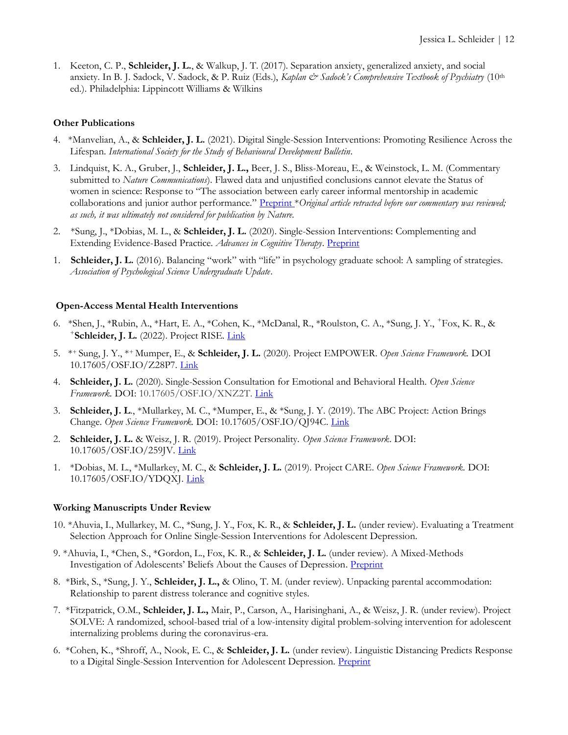1. Keeton, C. P., **Schleider, J. L.**, & Walkup, J. T. (2017). Separation anxiety, generalized anxiety, and social anxiety. In B. J. Sadock, V. Sadock, & P. Ruiz (Eds.), *Kaplan & Sadock's Comprehensive Textbook of Psychiatry* (10<sup>th</sup> ed.). Philadelphia: Lippincott Williams & Wilkins

### **Other Publications**

- 4. \*Manvelian, A., & **Schleider, J. L.** (2021). Digital Single-Session Interventions: Promoting Resilience Across the Lifespan. *International Society for the Study of Behavioural Development Bulletin*.
- 3. Lindquist, K. A., Gruber, J., **Schleider, J. L.,** Beer, J. S., Bliss-Moreau, E., & Weinstock, L. M. (Commentary submitted to *Nature Communications*). Flawed data and unjustified conclusions cannot elevate the Status of women in science: Response to "The association between early career informal mentorship in academic collaborations and junior author performance." [Preprint](https://psyarxiv.com/qn3ae) \**Original article retracted before our commentary was reviewed; as such, it was ultimately not considered for publication by Nature.*
- 2. \*Sung, J., \*Dobias, M. L., & **Schleider, J. L.** (2020). Single-Session Interventions: Complementing and Extending Evidence-Based Practice. *Advances in Cognitive Therapy*. [Preprint](https://psyarxiv.com/z7bw2/)
- 1. **Schleider, J. L.** (2016). Balancing "work" with "life" in psychology graduate school: A sampling of strategies. *Association of Psychological Science Undergraduate Update*.

#### **Open-Access Mental Health Interventions**

- 6. \*Shen, J., \*Rubin, A., \*Hart, E. A., \*Cohen, K., \*McDanal, R., \*Roulston, C. A., \*Sung, J. Y., <sup>+</sup>Fox, K. R., & + **Schleider, J. L.** (2022). Project RISE. [Link](http://www.projectrestore.info/our-programs)
- 5. \*+ Sung, J. Y., \*+ Mumper, E., & **Schleider, J. L.** (2020). Project EMPOWER. *Open Science Framework.* DOI 10.17605/OSF.IO/Z28P7. [Link](https://osf.io/fn7zc/)
- 4. **Schleider, J. L.** (2020). Single-Session Consultation for Emotional and Behavioral Health. *Open Science Framework.* DOI: 10.17605/OSF.IO/XNZ2T[. Link](https://osf.io/xnz2t/)
- 3. **Schleider, J. L**., \*Mullarkey, M. C., \*Mumper, E., & \*Sung, J. Y. (2019). The ABC Project: Action Brings Change. *Open Science Framework.* DOI: 10.17605/OSF.IO/QJ94C[. Link](https://osf.io/qj94c/)
- 2. **Schleider, J. L.** & Weisz, J. R. (2019). Project Personality. *Open Science Framework*. DOI: 10.17605/OSF.IO/259JV. [Link](https://osf.io/259jv/)
- 1. \*Dobias, M. L., \*Mullarkey, M. C., & **Schleider, J. L.** (2019). Project CARE. *Open Science Framework.* DOI: 10.17605/OSF.IO/YDQXJ[. Link](/Users/jessica.schleider/Documents/CVs/2019/OSF.IO/YDQXJ)

#### **Working Manuscripts Under Review**

- 10. \*Ahuvia, I., Mullarkey, M. C., \*Sung, J. Y., Fox, K. R., & **Schleider, J. L.** (under review). Evaluating a Treatment Selection Approach for Online Single-Session Interventions for Adolescent Depression.
- 9. \*Ahuvia, I., \*Chen, S., \*Gordon, L., Fox, K. R., & **Schleider, J. L.** (under review). A Mixed-Methods Investigation of Adolescents' Beliefs About the Causes of Depression. [Preprint](https://psyarxiv.com/yf6vq/)
- 8. \*Birk, S., \*Sung, J. Y., **Schleider, J. L.,** & Olino, T. M. (under review). Unpacking parental accommodation: Relationship to parent distress tolerance and cognitive styles.
- 7. \*Fitzpatrick, O.M., **Schleider, J. L.,** Mair, P., Carson, A., Harisinghani, A., & Weisz, J. R. (under review). Project SOLVE: A randomized, school-based trial of a low-intensity digital problem-solving intervention for adolescent internalizing problems during the coronavirus-era.
- 6. \*Cohen, K., \*Shroff, A., Nook, E. C., & **Schleider, J. L.** (under review). Linguistic Distancing Predicts Response to a Digital Single-Session Intervention for Adolescent Depression. [Preprint](https://psyarxiv.com/43v6p)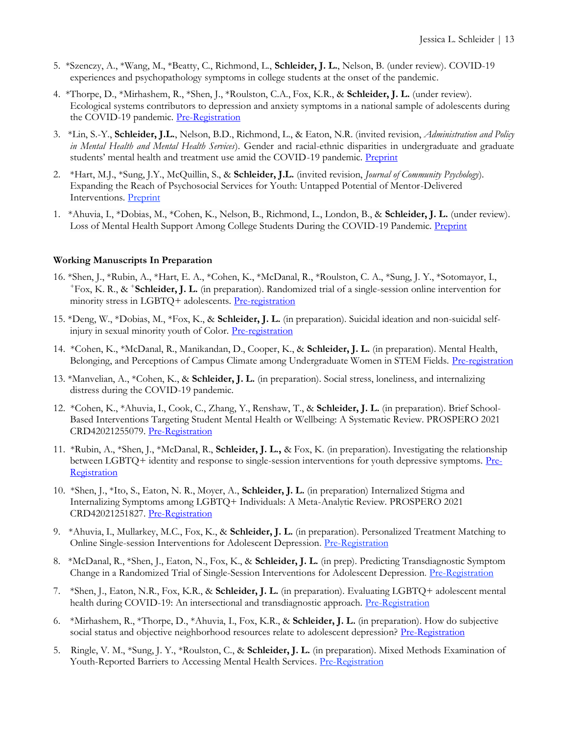- 5. \*Szenczy, A., \*Wang, M., \*Beatty, C., Richmond, L., **Schleider, J. L.**, Nelson, B. (under review). COVID-19 experiences and psychopathology symptoms in college students at the onset of the pandemic.
- 4. \*Thorpe, D., \*Mirhashem, R., \*Shen, J., \*Roulston, C.A., Fox, K.R., & **Schleider, J. L.** (under review). Ecological systems contributors to depression and anxiety symptoms in a national sample of adolescents during the COVID-19 pandemic. [Pre-Registration](https://osf.io/76zce)
- 3. \*Lin, S.-Y., **Schleider, J.L.**, Nelson, B.D., Richmond, L., & Eaton, N.R. (invited revision, *Administration and Policy in Mental Health and Mental Health Services*). Gender and racial-ethnic disparities in undergraduate and graduate students' mental health and treatment use amid the COVID-19 pandemic. [Preprint](https://psyarxiv.com/qhy5j/)
- 2. \*Hart, M.J., \*Sung, J.Y., McQuillin, S., & **Schleider, J.L.** (invited revision, *Journal of Community Psychology*). Expanding the Reach of Psychosocial Services for Youth: Untapped Potential of Mentor-Delivered Interventions. [Preprint](https://psyarxiv.com/d2j6a)
- 1. \*Ahuvia, I., \*Dobias, M., \*Cohen, K., Nelson, B., Richmond, L., London, B., & **Schleider, J. L.** (under review). Loss of Mental Health Support Among College Students During the COVID-19 Pandemic. [Preprint](http://psyarxiv.com/48q7p)

#### **Working Manuscripts In Preparation**

- 16. \*Shen, J., \*Rubin, A., \*Hart, E. A., \*Cohen, K., \*McDanal, R., \*Roulston, C. A., \*Sung, J. Y., \*Sotomayor, I., <sup>+</sup>Fox, K. R., & <sup>+</sup> **Schleider, J. L.** (in preparation). Randomized trial of a single-session online intervention for minority stress in LGBTQ+ adolescents. [Pre-registration](https://osf.io/es3zb)
- 15. \*Deng, W., \*Dobias, M., \*Fox, K., & **Schleider, J. L.** (in preparation). Suicidal ideation and non-suicidal self-injury in sexual minority youth of Color. [Pre-registration](https://osf.io/ytjwx)
- 14. \*Cohen, K., \*McDanal, R., Manikandan, D., Cooper, K., & **Schleider, J. L.** (in preparation). Mental Health, Belonging, and Perceptions of Campus Climate among Undergraduate Women in STEM Fields. [Pre-registration](https://osf.io/j7xkm.)
- 13. \*Manvelian, A., \*Cohen, K., & **Schleider, J. L.** (in preparation). Social stress, loneliness, and internalizing distress during the COVID-19 pandemic.
- 12. \*Cohen, K., \*Ahuvia, I., Cook, C., Zhang, Y., Renshaw, T., & **Schleider, J. L.** (in preparation). Brief School-Based Interventions Targeting Student Mental Health or Wellbeing: A Systematic Review. PROSPERO 2021 CRD42021255079. [Pre-Registration](https://www.crd.york.ac.uk/prospero/display_record.php?RecordID=255079)
- 11. \*Rubin, A., \*Shen, J., \*McDanal, R., **Schleider, J. L.,** & Fox, K. (in preparation). Investigating the relationship between LGBTQ+ identity and response to single-session interventions for youth depressive symptoms. [Pre-](https://doi.org/10.17605/OSF.IO/4CEMW)[Registration](https://doi.org/10.17605/OSF.IO/4CEMW)
- 10. \*Shen, J., \*Ito, S., Eaton, N. R., Moyer, A., **Schleider, J. L.** (in preparation) Internalized Stigma and Internalizing Symptoms among LGBTQ+ Individuals: A Meta-Analytic Review. PROSPERO 2021 CRD42021251827. [Pre-Registration](https://www.crd.york.ac.uk/prospero/display_record.php?ID=CRD42021251827)
- 9. \*Ahuvia, I., Mullarkey, M.C., Fox, K., & **Schleider, J. L.** (in preparation). Personalized Treatment Matching to Online Single-session Interventions for Adolescent Depression. [Pre-Registration](https://osf.io/dpcwg)
- 8. \*McDanal, R., \*Shen, J., Eaton, N., Fox, K., & **Schleider, J. L.** (in prep). Predicting Transdiagnostic Symptom Change in a Randomized Trial of Single-Session Interventions for Adolescent Depression. [Pre-Registration](https://osf.io/mxvt4)
- 7. \*Shen, J., Eaton, N.R., Fox, K.R., & **Schleider, J. L.** (in preparation). Evaluating LGBTQ+ adolescent mental health during COVID-19: An intersectional and transdiagnostic approach. Pre-Registration
- 6. \*Mirhashem, R., \*Thorpe, D., \*Ahuvia, I., Fox, K.R., & **Schleider, J. L.** (in preparation). How do subjective social status and objective neighborhood resources relate to adolescent depression? [Pre-Registration](https://osf.io/cg3mz)
- 5. Ringle, V. M., \*Sung, J. Y., \*Roulston, C., & **Schleider, J. L.** (in preparation). Mixed Methods Examination of Youth-Reported Barriers to Accessing Mental Health Services. [Pre-Registration](https://osf.io/9d2ev)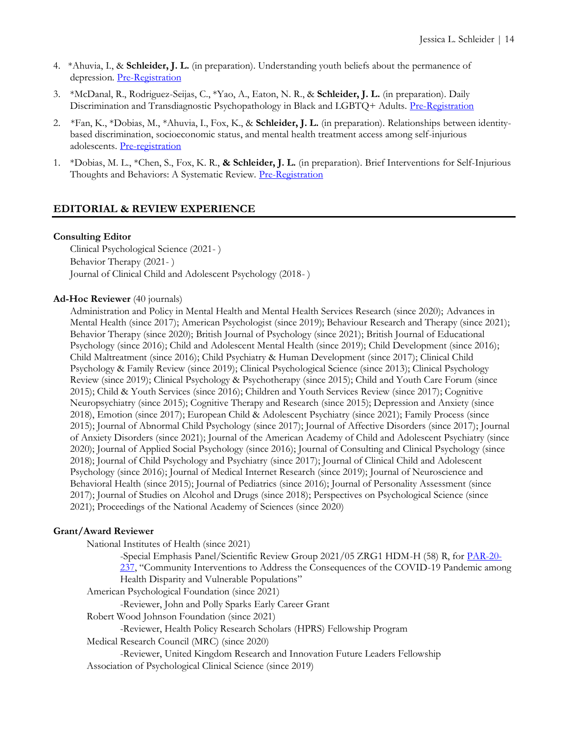- 4. \*Ahuvia, I., & **Schleider, J. L.** (in preparation). Understanding youth beliefs about the permanence of depression. [Pre-Registration](https://osf.io/gvjrz)
- 3. \*McDanal, R., Rodriguez-Seijas, C., \*Yao, A., Eaton, N. R., & **Schleider, J. L.** (in preparation). Daily Discrimination and Transdiagnostic Psychopathology in Black and LGBTQ+ Adults. [Pre-Registration](https://osf.io/kv3x5)
- 2. \*Fan, K., \*Dobias, M., \*Ahuvia, I., Fox, K., & **Schleider, J. L.** (in preparation). Relationships between identitybased discrimination, socioeconomic status, and mental health treatment access among self-injurious adolescents. [Pre-registration](https://osf.io/pwxqk)
- 1. \*Dobias, M. L., \*Chen, S., Fox, K. R., **& Schleider, J. L.** (in preparation). Brief Interventions for Self-Injurious Thoughts and Behaviors: A Systematic Review. [Pre-Registration](https://osf.io/54w2r/)

# **EDITORIAL & REVIEW EXPERIENCE**

#### **Consulting Editor**

Clinical Psychological Science (2021- ) Behavior Therapy (2021- ) Journal of Clinical Child and Adolescent Psychology (2018- )

#### **Ad-Hoc Reviewer** (40 journals)

Administration and Policy in Mental Health and Mental Health Services Research (since 2020); Advances in Mental Health (since 2017); American Psychologist (since 2019); Behaviour Research and Therapy (since 2021); Behavior Therapy (since 2020); British Journal of Psychology (since 2021); British Journal of Educational Psychology (since 2016); Child and Adolescent Mental Health (since 2019); Child Development (since 2016); Child Maltreatment (since 2016); Child Psychiatry & Human Development (since 2017); Clinical Child Psychology & Family Review (since 2019); Clinical Psychological Science (since 2013); Clinical Psychology Review (since 2019); Clinical Psychology & Psychotherapy (since 2015); Child and Youth Care Forum (since 2015); Child & Youth Services (since 2016); Children and Youth Services Review (since 2017); Cognitive Neuropsychiatry (since 2015); Cognitive Therapy and Research (since 2015); Depression and Anxiety (since 2018), Emotion (since 2017); European Child & Adolescent Psychiatry (since 2021); Family Process (since 2015); Journal of Abnormal Child Psychology (since 2017); Journal of Affective Disorders (since 2017); Journal of Anxiety Disorders (since 2021); Journal of the American Academy of Child and Adolescent Psychiatry (since 2020); Journal of Applied Social Psychology (since 2016); Journal of Consulting and Clinical Psychology (since 2018); Journal of Child Psychology and Psychiatry (since 2017); Journal of Clinical Child and Adolescent Psychology (since 2016); Journal of Medical Internet Research (since 2019); Journal of Neuroscience and Behavioral Health (since 2015); Journal of Pediatrics (since 2016); Journal of Personality Assessment (since 2017); Journal of Studies on Alcohol and Drugs (since 2018); Perspectives on Psychological Science (since 2021); Proceedings of the National Academy of Sciences (since 2020)

# **Grant/Award Reviewer**

National Institutes of Health (since 2021)

-Special Emphasis Panel/Scientific Review Group 2021/05 ZRG1 HDM-H (58) R, for [PAR-20-](https://grants.nih.gov/grants/guide/pa-files/PAR-20-237.html) [237](https://grants.nih.gov/grants/guide/pa-files/PAR-20-237.html), "Community Interventions to Address the Consequences of the COVID-19 Pandemic among Health Disparity and Vulnerable Populations"

American Psychological Foundation (since 2021)

-Reviewer, John and Polly Sparks Early Career Grant

Robert Wood Johnson Foundation (since 2021)

-Reviewer, Health Policy Research Scholars (HPRS) Fellowship Program

Medical Research Council (MRC) (since 2020)

-Reviewer, United Kingdom Research and Innovation Future Leaders Fellowship Association of Psychological Clinical Science (since 2019)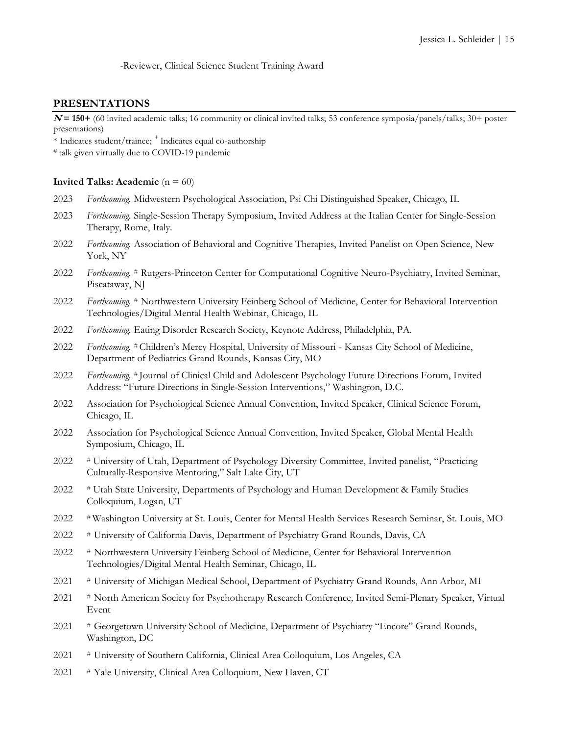-Reviewer, Clinical Science Student Training Award

#### **PRESENTATIONS**

**<sup>N</sup>= 150+** (60 invited academic talks; 16 community or clinical invited talks; 53 conference symposia/panels/talks; 30+ poster presentations)

\* Indicates student/trainee; <sup>+</sup>Indicates equal co-authorship

# talk given virtually due to COVID-19 pandemic

#### **Invited Talks: Academic** ( $n = 60$ )

- 2023 *Forthcoming.* Midwestern Psychological Association, Psi Chi Distinguished Speaker, Chicago, IL
- 2023 *Forthcoming.* Single-Session Therapy Symposium, Invited Address at the Italian Center for Single-Session Therapy, Rome, Italy.
- 2022 *Forthcoming.* Association of Behavioral and Cognitive Therapies, Invited Panelist on Open Science, New York, NY
- 2022 *Forthcoming.* # Rutgers-Princeton Center for Computational Cognitive Neuro-Psychiatry, Invited Seminar, Piscataway, NJ
- 2022 *Forthcoming.* # Northwestern University Feinberg School of Medicine, Center for Behavioral Intervention Technologies/Digital Mental Health Webinar, Chicago, IL
- 2022 *Forthcoming.* Eating Disorder Research Society, Keynote Address, Philadelphia, PA.
- 2022 *Forthcoming.* # Children's Mercy Hospital, University of Missouri Kansas City School of Medicine, Department of Pediatrics Grand Rounds, Kansas City, MO
- 2022 *Forthcoming.* # Journal of Clinical Child and Adolescent Psychology Future Directions Forum, Invited Address: "Future Directions in Single-Session Interventions," Washington, D.C.
- 2022 Association for Psychological Science Annual Convention, Invited Speaker, Clinical Science Forum, Chicago, IL
- 2022 Association for Psychological Science Annual Convention, Invited Speaker, Global Mental Health Symposium, Chicago, IL
- 2022 # University of Utah, Department of Psychology Diversity Committee, Invited panelist, "Practicing Culturally-Responsive Mentoring," Salt Lake City, UT
- 2022 # Utah State University, Departments of Psychology and Human Development & Family Studies Colloquium, Logan, UT
- 2022 # Washington University at St. Louis, Center for Mental Health Services Research Seminar, St. Louis, MO
- 2022 # University of California Davis, Department of Psychiatry Grand Rounds, Davis, CA
- 2022 # Northwestern University Feinberg School of Medicine, Center for Behavioral Intervention Technologies/Digital Mental Health Seminar, Chicago, IL
- 2021 # University of Michigan Medical School, Department of Psychiatry Grand Rounds, Ann Arbor, MI
- 2021 # North American Society for Psychotherapy Research Conference, Invited Semi-Plenary Speaker, Virtual Event
- 2021 # Georgetown University School of Medicine, Department of Psychiatry "Encore" Grand Rounds, Washington, DC
- 2021 # University of Southern California, Clinical Area Colloquium, Los Angeles, CA
- 2021 # Yale University, Clinical Area Colloquium, New Haven, CT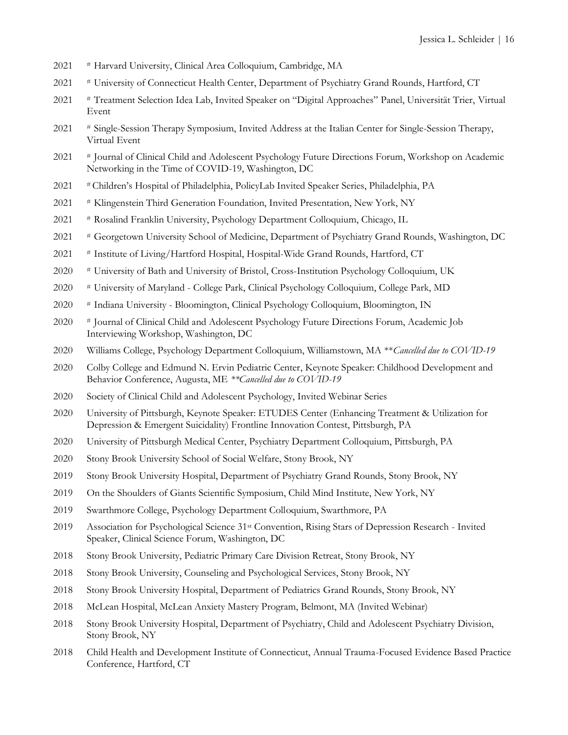- # Harvard University, Clinical Area Colloquium, Cambridge, MA
- # University of Connecticut Health Center, Department of Psychiatry Grand Rounds, Hartford, CT
- # Treatment Selection Idea Lab, Invited Speaker on "Digital Approaches" Panel, Universität Trier, Virtual Event
- # Single-Session Therapy Symposium, Invited Address at the Italian Center for Single-Session Therapy, Virtual Event
- # Journal of Clinical Child and Adolescent Psychology Future Directions Forum, Workshop on Academic Networking in the Time of COVID-19, Washington, DC
- # Children's Hospital of Philadelphia, PolicyLab Invited Speaker Series, Philadelphia, PA
- # Klingenstein Third Generation Foundation, Invited Presentation, New York, NY
- # Rosalind Franklin University, Psychology Department Colloquium, Chicago, IL
- # Georgetown University School of Medicine, Department of Psychiatry Grand Rounds, Washington, DC
- # Institute of Living/Hartford Hospital, Hospital-Wide Grand Rounds, Hartford, CT
- # University of Bath and University of Bristol, Cross-Institution Psychology Colloquium, UK
- # University of Maryland College Park, Clinical Psychology Colloquium, College Park, MD
- # Indiana University Bloomington, Clinical Psychology Colloquium, Bloomington, IN
- # Journal of Clinical Child and Adolescent Psychology Future Directions Forum, Academic Job Interviewing Workshop, Washington, DC
- Williams College, Psychology Department Colloquium, Williamstown, MA \*\**Cancelled due to COVID-19*
- Colby College and Edmund N. Ervin Pediatric Center, Keynote Speaker: Childhood Development and Behavior Conference, Augusta, ME *\*\*Cancelled due to COVID-19*
- Society of Clinical Child and Adolescent Psychology, Invited Webinar Series
- University of Pittsburgh, Keynote Speaker: ETUDES Center (Enhancing Treatment & Utilization for Depression & Emergent Suicidality) Frontline Innovation Contest, Pittsburgh, PA
- 2020 University of Pittsburgh Medical Center, Psychiatry Department Colloquium, Pittsburgh, PA
- 2020 Stony Brook University School of Social Welfare, Stony Brook, NY
- Stony Brook University Hospital, Department of Psychiatry Grand Rounds, Stony Brook, NY
- On the Shoulders of Giants Scientific Symposium, Child Mind Institute, New York, NY
- Swarthmore College, Psychology Department Colloquium, Swarthmore, PA
- 2019 Association for Psychological Science 31<sup>st</sup> Convention, Rising Stars of Depression Research Invited Speaker, Clinical Science Forum, Washington, DC
- Stony Brook University, Pediatric Primary Care Division Retreat, Stony Brook, NY
- Stony Brook University, Counseling and Psychological Services, Stony Brook, NY
- Stony Brook University Hospital, Department of Pediatrics Grand Rounds, Stony Brook, NY
- McLean Hospital, McLean Anxiety Mastery Program, Belmont, MA (Invited Webinar)
- Stony Brook University Hospital, Department of Psychiatry, Child and Adolescent Psychiatry Division, Stony Brook, NY
- Child Health and Development Institute of Connecticut, Annual Trauma-Focused Evidence Based Practice Conference, Hartford, CT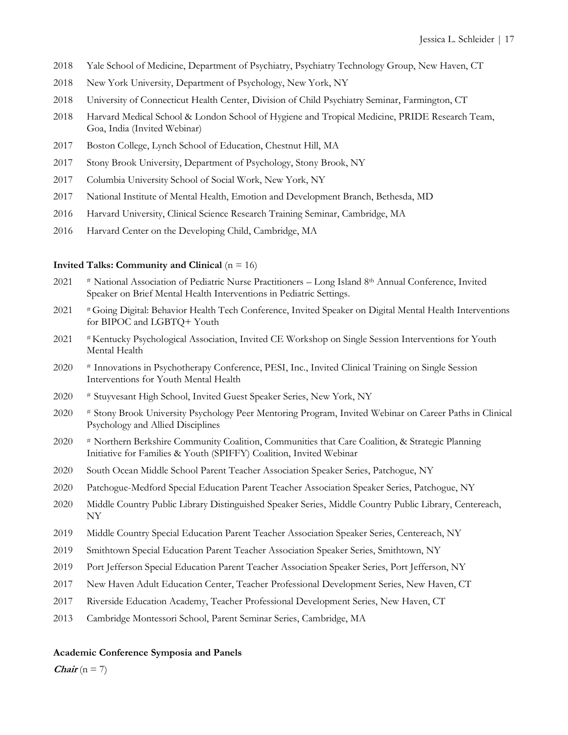- Yale School of Medicine, Department of Psychiatry, Psychiatry Technology Group, New Haven, CT
- New York University, Department of Psychology, New York, NY
- University of Connecticut Health Center, Division of Child Psychiatry Seminar, Farmington, CT
- 2018 Harvard Medical School & London School of Hygiene and Tropical Medicine, PRIDE Research Team, Goa, India (Invited Webinar)
- Boston College, Lynch School of Education, Chestnut Hill, MA
- Stony Brook University, Department of Psychology, Stony Brook, NY
- Columbia University School of Social Work, New York, NY
- National Institute of Mental Health, Emotion and Development Branch, Bethesda, MD
- Harvard University, Clinical Science Research Training Seminar, Cambridge, MA
- Harvard Center on the Developing Child, Cambridge, MA

#### **Invited Talks: Community and Clinical** (n = 16)

- # National Association of Pediatric Nurse Practitioners Long Island 8th Annual Conference, Invited Speaker on Brief Mental Health Interventions in Pediatric Settings.
- # Going Digital: Behavior Health Tech Conference, Invited Speaker on Digital Mental Health Interventions for BIPOC and LGBTQ+ Youth
- # Kentucky Psychological Association, Invited CE Workshop on Single Session Interventions for Youth Mental Health
- # Innovations in Psychotherapy Conference, PESI, Inc., Invited Clinical Training on Single Session Interventions for Youth Mental Health
- # Stuyvesant High School, Invited Guest Speaker Series, New York, NY
- # Stony Brook University Psychology Peer Mentoring Program, Invited Webinar on Career Paths in Clinical Psychology and Allied Disciplines
- # Northern Berkshire Community Coalition, Communities that Care Coalition, & Strategic Planning Initiative for Families & Youth (SPIFFY) Coalition, Invited Webinar
- South Ocean Middle School Parent Teacher Association Speaker Series, Patchogue, NY
- Patchogue-Medford Special Education Parent Teacher Association Speaker Series, Patchogue, NY
- Middle Country Public Library Distinguished Speaker Series, Middle Country Public Library, Centereach, NY
- Middle Country Special Education Parent Teacher Association Speaker Series, Centereach, NY
- Smithtown Special Education Parent Teacher Association Speaker Series, Smithtown, NY
- Port Jefferson Special Education Parent Teacher Association Speaker Series, Port Jefferson, NY
- New Haven Adult Education Center, Teacher Professional Development Series, New Haven, CT
- Riverside Education Academy, Teacher Professional Development Series, New Haven, CT
- Cambridge Montessori School, Parent Seminar Series, Cambridge, MA

#### **Academic Conference Symposia and Panels**

*Chair* ( $n = 7$ )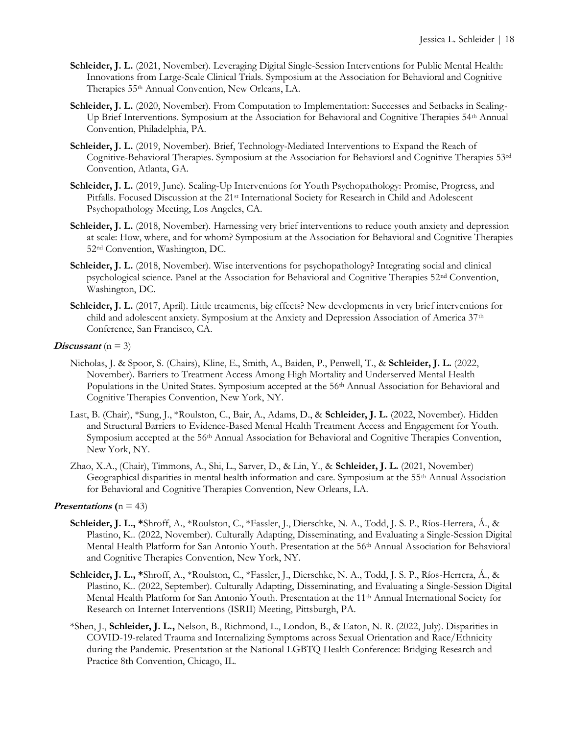- **Schleider, J. L.** (2021, November). Leveraging Digital Single-Session Interventions for Public Mental Health: Innovations from Large-Scale Clinical Trials. Symposium at the Association for Behavioral and Cognitive Therapies 55th Annual Convention, New Orleans, LA.
- Schleider, J. L. (2020, November). From Computation to Implementation: Successes and Setbacks in Scaling-Up Brief Interventions. Symposium at the Association for Behavioral and Cognitive Therapies 54th Annual Convention, Philadelphia, PA.
- Schleider, J. L. (2019, November). Brief, Technology-Mediated Interventions to Expand the Reach of Cognitive-Behavioral Therapies. Symposium at the Association for Behavioral and Cognitive Therapies 53rd Convention, Atlanta, GA.
- **Schleider, J. L.** (2019, June). Scaling-Up Interventions for Youth Psychopathology: Promise, Progress, and Pitfalls. Focused Discussion at the 21<sup>st</sup> International Society for Research in Child and Adolescent Psychopathology Meeting, Los Angeles, CA.
- **Schleider, J. L.** (2018, November). Harnessing very brief interventions to reduce youth anxiety and depression at scale: How, where, and for whom? Symposium at the Association for Behavioral and Cognitive Therapies 52nd Convention, Washington, DC.
- **Schleider, J. L.** (2018, November). Wise interventions for psychopathology? Integrating social and clinical psychological science. Panel at the Association for Behavioral and Cognitive Therapies 52nd Convention, Washington, DC.
- **Schleider, J. L.** (2017, April). Little treatments, big effects? New developments in very brief interventions for child and adolescent anxiety. Symposium at the Anxiety and Depression Association of America 37<sup>th</sup> Conference, San Francisco, CA.

#### **Discussant**  $(n = 3)$

- Nicholas, J. & Spoor, S. (Chairs), Kline, E., Smith, A., Baiden, P., Penwell, T., & **Schleider, J. L.** (2022, November). Barriers to Treatment Access Among High Mortality and Underserved Mental Health Populations in the United States. Symposium accepted at the 56<sup>th</sup> Annual Association for Behavioral and Cognitive Therapies Convention, New York, NY.
- Last, B. (Chair), \*Sung, J., \*Roulston, C., Bair, A., Adams, D., & **Schleider, J. L.** (2022, November). Hidden and Structural Barriers to Evidence-Based Mental Health Treatment Access and Engagement for Youth. Symposium accepted at the 56<sup>th</sup> Annual Association for Behavioral and Cognitive Therapies Convention, New York, NY.
- Zhao, X.A., (Chair), Timmons, A., Shi, L., Sarver, D., & Lin, Y., & **Schleider, J. L.** (2021, November) Geographical disparities in mental health information and care. Symposium at the 55th Annual Association for Behavioral and Cognitive Therapies Convention, New Orleans, LA.

#### **Presentations**  $(n = 43)$

- **Schleider, J. L., \***Shroff, A., \*Roulston, C., \*Fassler, J., Dierschke, N. A., Todd, J. S. P., Ríos-Herrera, Á., & Plastino, K.. (2022, November). Culturally Adapting, Disseminating, and Evaluating a Single-Session Digital Mental Health Platform for San Antonio Youth. Presentation at the 56<sup>th</sup> Annual Association for Behavioral and Cognitive Therapies Convention, New York, NY.
- **Schleider, J. L., \***Shroff, A., \*Roulston, C., \*Fassler, J., Dierschke, N. A., Todd, J. S. P., Ríos-Herrera, Á., & Plastino, K.. (2022, September). Culturally Adapting, Disseminating, and Evaluating a Single-Session Digital Mental Health Platform for San Antonio Youth. Presentation at the 11<sup>th</sup> Annual International Society for Research on Internet Interventions (ISRII) Meeting, Pittsburgh, PA.
- \*Shen, J., **Schleider, J. L.,** Nelson, B., Richmond, L., London, B., & Eaton, N. R. (2022, July). Disparities in COVID-19-related Trauma and Internalizing Symptoms across Sexual Orientation and Race/Ethnicity during the Pandemic. Presentation at the National LGBTQ Health Conference: Bridging Research and Practice 8th Convention, Chicago, IL.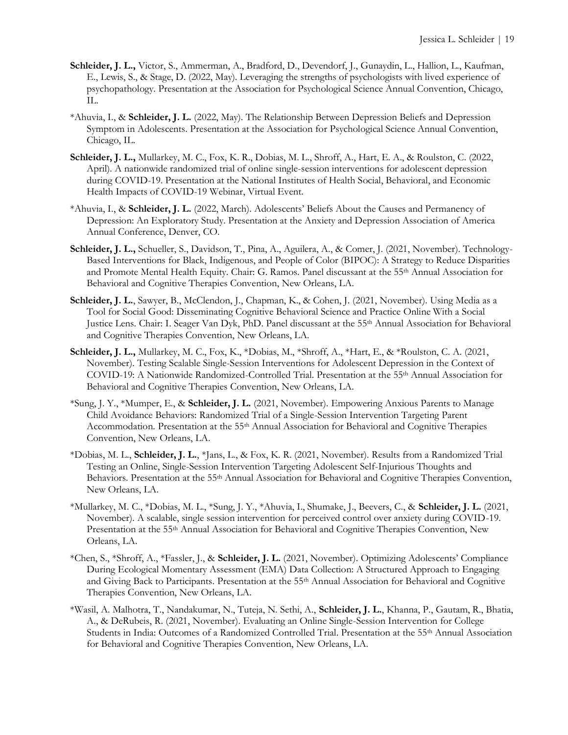- **Schleider, J. L.,** Victor, S., Ammerman, A., Bradford, D., Devendorf, J., Gunaydin, L., Hallion, L., Kaufman, E., Lewis, S., & Stage, D. (2022, May). Leveraging the strengths of psychologists with lived experience of psychopathology. Presentation at the Association for Psychological Science Annual Convention, Chicago, IL.
- \*Ahuvia, I., & **Schleider, J. L.** (2022, May). The Relationship Between Depression Beliefs and Depression Symptom in Adolescents. Presentation at the Association for Psychological Science Annual Convention, Chicago, IL.
- **Schleider, J. L.,** Mullarkey, M. C., Fox, K. R., Dobias, M. L., Shroff, A., Hart, E. A., & Roulston, C. (2022, April). A nationwide randomized trial of online single-session interventions for adolescent depression during COVID-19. Presentation at the National Institutes of Health Social, Behavioral, and Economic Health Impacts of COVID-19 Webinar, Virtual Event.
- \*Ahuvia, I., & **Schleider, J. L.** (2022, March). Adolescents' Beliefs About the Causes and Permanency of Depression: An Exploratory Study. Presentation at the Anxiety and Depression Association of America Annual Conference, Denver, CO.
- **Schleider, J. L.,** Schueller, S., Davidson, T., Pina, A., Aguilera, A., & Comer, J. (2021, November). Technology-Based Interventions for Black, Indigenous, and People of Color (BIPOC): A Strategy to Reduce Disparities and Promote Mental Health Equity. Chair: G. Ramos. Panel discussant at the 55th Annual Association for Behavioral and Cognitive Therapies Convention, New Orleans, LA.
- **Schleider, J. L.**, Sawyer, B., McClendon, J., Chapman, K., & Cohen, J. (2021, November). Using Media as a Tool for Social Good: Disseminating Cognitive Behavioral Science and Practice Online With a Social Justice Lens. Chair: I. Seager Van Dyk, PhD. Panel discussant at the 55th Annual Association for Behavioral and Cognitive Therapies Convention, New Orleans, LA.
- **Schleider, J. L.,** Mullarkey, M. C., Fox, K., \*Dobias, M., \*Shroff, A., \*Hart, E., & \*Roulston, C. A. (2021, November). Testing Scalable Single-Session Interventions for Adolescent Depression in the Context of COVID-19: A Nationwide Randomized-Controlled Trial. Presentation at the 55th Annual Association for Behavioral and Cognitive Therapies Convention, New Orleans, LA.
- \*Sung, J. Y., \*Mumper, E., & **Schleider, J. L.** (2021, November). Empowering Anxious Parents to Manage Child Avoidance Behaviors: Randomized Trial of a Single-Session Intervention Targeting Parent Accommodation. Presentation at the 55th Annual Association for Behavioral and Cognitive Therapies Convention, New Orleans, LA.
- \*Dobias, M. L., **Schleider, J. L.**, \*Jans, L., & Fox, K. R. (2021, November). Results from a Randomized Trial Testing an Online, Single-Session Intervention Targeting Adolescent Self-Injurious Thoughts and Behaviors. Presentation at the 55<sup>th</sup> Annual Association for Behavioral and Cognitive Therapies Convention, New Orleans, LA.
- \*Mullarkey, M. C., \*Dobias, M. L., \*Sung, J. Y., \*Ahuvia, I., Shumake, J., Beevers, C., & **Schleider, J. L.** (2021, November). A scalable, single session intervention for perceived control over anxiety during COVID-19. Presentation at the 55<sup>th</sup> Annual Association for Behavioral and Cognitive Therapies Convention, New Orleans, LA.
- \*Chen, S., \*Shroff, A., \*Fassler, J., & **Schleider, J. L.** (2021, November). Optimizing Adolescents' Compliance During Ecological Momentary Assessment (EMA) Data Collection: A Structured Approach to Engaging and Giving Back to Participants. Presentation at the 55<sup>th</sup> Annual Association for Behavioral and Cognitive Therapies Convention, New Orleans, LA.
- \*Wasil, A. Malhotra, T., Nandakumar, N., Tuteja, N. Sethi, A., **Schleider, J. L.**, Khanna, P., Gautam, R., Bhatia, A., & DeRubeis, R. (2021, November). Evaluating an Online Single-Session Intervention for College Students in India: Outcomes of a Randomized Controlled Trial. Presentation at the 55<sup>th</sup> Annual Association for Behavioral and Cognitive Therapies Convention, New Orleans, LA.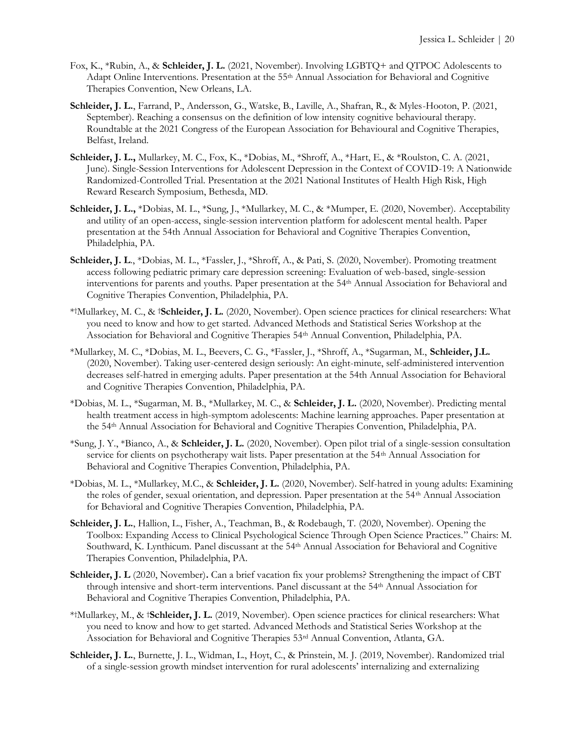- Fox, K., \*Rubin, A., & **Schleider, J. L.** (2021, November). Involving LGBTQ+ and QTPOC Adolescents to Adapt Online Interventions. Presentation at the 55<sup>th</sup> Annual Association for Behavioral and Cognitive Therapies Convention, New Orleans, LA.
- **Schleider, J. L.**, Farrand, P., Andersson, G., Watske, B., Laville, A., Shafran, R., & Myles-Hooton, P. (2021, September). Reaching a consensus on the definition of low intensity cognitive behavioural therapy. Roundtable at the 2021 Congress of the European Association for Behavioural and Cognitive Therapies, Belfast, Ireland.
- **Schleider, J. L.,** Mullarkey, M. C., Fox, K., \*Dobias, M., \*Shroff, A., \*Hart, E., & \*Roulston, C. A. (2021, June). Single-Session Interventions for Adolescent Depression in the Context of COVID-19: A Nationwide Randomized-Controlled Trial. Presentation at the 2021 National Institutes of Health High Risk, High Reward Research Symposium, Bethesda, MD.
- **Schleider, J. L.,** \*Dobias, M. L., \*Sung, J., \*Mullarkey, M. C., & \*Mumper, E. (2020, November). Acceptability and utility of an open-access, single-session intervention platform for adolescent mental health. Paper presentation at the 54th Annual Association for Behavioral and Cognitive Therapies Convention, Philadelphia, PA.
- **Schleider, J. L**., \*Dobias, M. L., \*Fassler, J., \*Shroff, A., & Pati, S. (2020, November). Promoting treatment access following pediatric primary care depression screening: Evaluation of web-based, single-session interventions for parents and youths. Paper presentation at the 54th Annual Association for Behavioral and Cognitive Therapies Convention, Philadelphia, PA.
- \* †Mullarkey, M. C., & †**Schleider, J. L.** (2020, November). Open science practices for clinical researchers: What you need to know and how to get started. Advanced Methods and Statistical Series Workshop at the Association for Behavioral and Cognitive Therapies 54th Annual Convention, Philadelphia, PA.
- \*Mullarkey, M. C., \*Dobias, M. L., Beevers, C. G., \*Fassler, J., \*Shroff, A., \*Sugarman, M., **Schleider, J.L.** (2020, November). Taking user-centered design seriously: An eight-minute, self-administered intervention decreases self-hatred in emerging adults. Paper presentation at the 54th Annual Association for Behavioral and Cognitive Therapies Convention, Philadelphia, PA.
- \*Dobias, M. L., \*Sugarman, M. B., \*Mullarkey, M. C., & **Schleider, J. L.** (2020, November). Predicting mental health treatment access in high-symptom adolescents: Machine learning approaches. Paper presentation at the 54th Annual Association for Behavioral and Cognitive Therapies Convention, Philadelphia, PA.
- \*Sung, J. Y., \*Bianco, A., & **Schleider, J. L.** (2020, November). Open pilot trial of a single-session consultation service for clients on psychotherapy wait lists. Paper presentation at the 54th Annual Association for Behavioral and Cognitive Therapies Convention, Philadelphia, PA.
- \*Dobias, M. L., \*Mullarkey, M.C., & **Schleider, J. L.** (2020, November). Self-hatred in young adults: Examining the roles of gender, sexual orientation, and depression. Paper presentation at the 54<sup>th</sup> Annual Association for Behavioral and Cognitive Therapies Convention, Philadelphia, PA.
- **Schleider, J. L.**, Hallion, L., Fisher, A., Teachman, B., & Rodebaugh, T. (2020, November). Opening the Toolbox: Expanding Access to Clinical Psychological Science Through Open Science Practices." Chairs: M. Southward, K. Lynthicum. Panel discussant at the 54<sup>th</sup> Annual Association for Behavioral and Cognitive Therapies Convention, Philadelphia, PA.
- **Schleider, J. L** (2020, November). Can a brief vacation fix your problems? Strengthening the impact of CBT through intensive and short-term interventions. Panel discussant at the 54th Annual Association for Behavioral and Cognitive Therapies Convention, Philadelphia, PA.
- \* †Mullarkey, M., & †**Schleider, J. L.** (2019, November). Open science practices for clinical researchers: What you need to know and how to get started. Advanced Methods and Statistical Series Workshop at the Association for Behavioral and Cognitive Therapies 53rd Annual Convention, Atlanta, GA.
- **Schleider, J. L.**, Burnette, J. L., Widman, L., Hoyt, C., & Prinstein, M. J. (2019, November). Randomized trial of a single-session growth mindset intervention for rural adolescents' internalizing and externalizing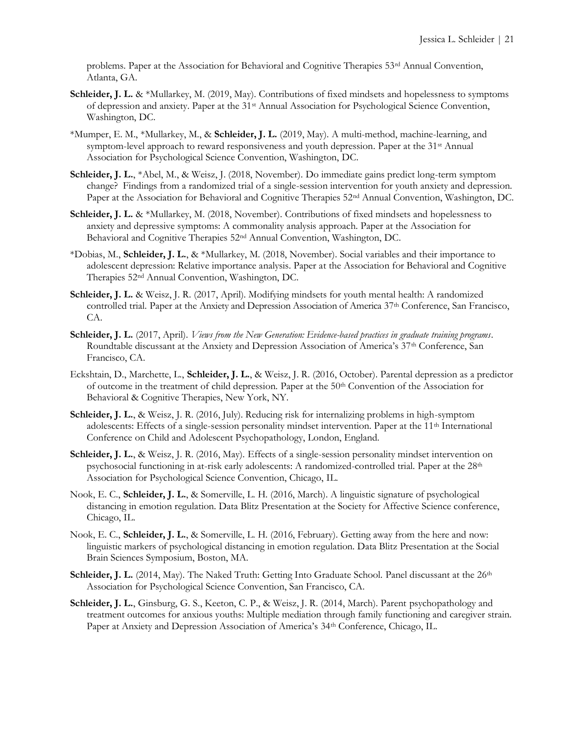problems. Paper at the Association for Behavioral and Cognitive Therapies 53<sup>rd</sup> Annual Convention, Atlanta, GA.

- Schleider, J. L. & \*Mullarkey, M. (2019, May). Contributions of fixed mindsets and hopelessness to symptoms of depression and anxiety. Paper at the 31st Annual Association for Psychological Science Convention, Washington, DC.
- \*Mumper, E. M., \*Mullarkey, M., & **Schleider, J. L.** (2019, May). A multi-method, machine-learning, and symptom-level approach to reward responsiveness and youth depression. Paper at the 31<sup>st</sup> Annual Association for Psychological Science Convention, Washington, DC.
- **Schleider, J. L.**, \*Abel, M., & Weisz, J. (2018, November). Do immediate gains predict long-term symptom change?Findings from a randomized trial of a single-session intervention for youth anxiety and depression. Paper at the Association for Behavioral and Cognitive Therapies 52nd Annual Convention, Washington, DC.
- **Schleider, J. L. & \*Mullarkey, M. (2018, November). Contributions of fixed mindsets and hopelessness to** anxiety and depressive symptoms: A commonality analysis approach. Paper at the Association for Behavioral and Cognitive Therapies 52nd Annual Convention, Washington, DC.
- \*Dobias, M., **Schleider, J. L.**, & \*Mullarkey, M. (2018, November). Social variables and their importance to adolescent depression: Relative importance analysis. Paper at the Association for Behavioral and Cognitive Therapies 52nd Annual Convention, Washington, DC.
- **Schleider, J. L.** & Weisz, J. R. (2017, April). Modifying mindsets for youth mental health: A randomized controlled trial. Paper at the Anxiety and Depression Association of America 37<sup>th</sup> Conference, San Francisco, CA.
- **Schleider, J. L.** (2017, April). *Views from the New Generation: Evidence-based practices in graduate training programs*. Roundtable discussant at the Anxiety and Depression Association of America's 37<sup>th</sup> Conference, San Francisco, CA.
- Eckshtain, D., Marchette, L., **Schleider, J. L.**, & Weisz, J. R. (2016, October). Parental depression as a predictor of outcome in the treatment of child depression. Paper at the 50th Convention of the Association for Behavioral & Cognitive Therapies, New York, NY.
- **Schleider, J. L.**, & Weisz, J. R. (2016, July). Reducing risk for internalizing problems in high-symptom adolescents: Effects of a single-session personality mindset intervention. Paper at the 11th International Conference on Child and Adolescent Psychopathology, London, England.
- Schleider, J. L., & Weisz, J. R. (2016, May). Effects of a single-session personality mindset intervention on psychosocial functioning in at-risk early adolescents: A randomized-controlled trial. Paper at the 28<sup>th</sup> Association for Psychological Science Convention, Chicago, IL.
- Nook, E. C., **Schleider, J. L.**, & Somerville, L. H. (2016, March). A linguistic signature of psychological distancing in emotion regulation. Data Blitz Presentation at the Society for Affective Science conference, Chicago, IL.
- Nook, E. C., **Schleider, J. L.**, & Somerville, L. H. (2016, February). Getting away from the here and now: linguistic markers of psychological distancing in emotion regulation. Data Blitz Presentation at the Social Brain Sciences Symposium, Boston, MA.
- **Schleider, J. L.** (2014, May). The Naked Truth: Getting Into Graduate School. Panel discussant at the 26<sup>th</sup> Association for Psychological Science Convention, San Francisco, CA.
- **Schleider, J. L.**, Ginsburg, G. S., Keeton, C. P., & Weisz, J. R. (2014, March). Parent psychopathology and treatment outcomes for anxious youths: Multiple mediation through family functioning and caregiver strain. Paper at Anxiety and Depression Association of America's 34<sup>th</sup> Conference, Chicago, IL.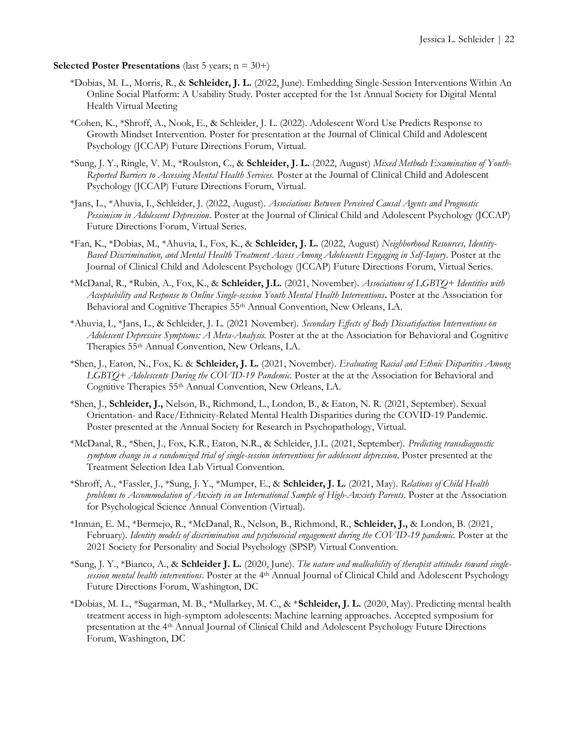#### **Selected Poster Presentations** (last 5 years; n = 30+)

- \*Dobias, M. L., Morris, R., & **Schleider, J. L.** (2022, June). Embedding Single-Session Interventions Within An Online Social Platform: A Usability Study. Poster accepted for the 1st Annual Society for Digital Mental Health Virtual Meeting
- \*Cohen, K., \*Shroff, A., Nook, E., & Schleider, J. L. (2022). Adolescent Word Use Predicts Response to Growth Mindset Intervention. Poster for presentation at the Journal of Clinical Child and Adolescent Psychology (JCCAP) Future Directions Forum, Virtual.
- \*Sung, J. Y., Ringle, V. M., \*Roulston, C., & **Schleider, J. L.** (2022, August) *Mixed Methods Examination of Youth-Reported Barriers to Accessing Mental Health Services.* Poster at the Journal of Clinical Child and Adolescent Psychology (JCCAP) Future Directions Forum, Virtual.
- \*Jans, L., \*Ahuvia, I., Schleider, J. (2022, August). *Associations Between Perceived Causal Agents and Prognostic Pessimism in Adolescent Depression*. Poster at the Journal of Clinical Child and Adolescent Psychology (JCCAP) Future Directions Forum, Virtual Series.
- \*Fan, K., \*Dobias, M., \*Ahuvia, I., Fox, K., & **Schleider, J. L.** (2022, August) *Neighborhood Resources, Identity-Based Discrimination, and Mental Health Treatment Access Among Adolescents Engaging in Self-Injury*. Poster at the Journal of Clinical Child and Adolescent Psychology (JCCAP) Future Directions Forum, Virtual Series.
- \*McDanal, R., \*Rubin, A., Fox, K., & **Schleider, J.L.** (2021, November). *Associations of LGBTQ+ Identities with Acceptability and Response to Online Single-session Youth Mental Health Interventions***.** Poster at the Association for Behavioral and Cognitive Therapies 55th Annual Convention, New Orleans, LA.
- \*Ahuvia, I., \*Jans, L., & Schleider, J. L. (2021 November). *Secondary Effects of Body Dissatisfaction Interventions on Adolescent Depressive Symptoms: A Meta-Analysis.* Poster at the at the Association for Behavioral and Cognitive Therapies 55th Annual Convention, New Orleans, LA.
- \*Shen, J., Eaton, N., Fox, K. & **Schleider, J. L.** (2021, November). *Evaluating Racial and Ethnic Disparities Among LGBTQ+ Adolescents During the COVID-19 Pandemic.* Poster at the at the Association for Behavioral and Cognitive Therapies 55th Annual Convention, New Orleans, LA.
- \*Shen, J., **Schleider, J.,** Nelson, B., Richmond, L., London, B., & Eaton, N. R. (2021, September). Sexual Orientation- and Race/Ethnicity-Related Mental Health Disparities during the COVID-19 Pandemic. Poster presented at the Annual Society for Research in Psychopathology, Virtual.
- \*McDanal, R., \*Shen, J., Fox, K.R., Eaton, N.R., & Schleider, J.L. (2021, September). *Predicting transdiagnostic symptom change in a randomized trial of single-session interventions for adolescent depression*. Poster presented at the Treatment Selection Idea Lab Virtual Convention.
- \*Shroff, A., \*Fassler, J., \*Sung, J. Y., \*Mumper, E., & **Schleider, J. L.** (2021, May). *Relations of Child Health problems to Accommodation of Anxiety in an International Sample of High-Anxiety Parents*. Poster at the Association for Psychological Science Annual Convention (Virtual).
- \*Inman, E. M., \*Bermejo, R., \*McDanal, R., Nelson, B., Richmond, R., **Schleider, J.,** & London, B. (2021, February). *Identity models of discrimination and psychosocial engagement during the COVID-19 pandemic.* Poster at the 2021 Society for Personality and Social Psychology (SPSP) Virtual Convention.
- \*Sung, J. Y., \*Bianco, A., & **Schleider J. L.** (2020, June). *The nature and malleability of therapist attitudes toward singlesession mental health interventions*. Poster at the 4th Annual Journal of Clinical Child and Adolescent Psychology Future Directions Forum, Washington, DC
- \*Dobias, M. L., \*Sugarman, M. B., \*Mullarkey, M. C., & \***Schleider, J. L.** (2020, May). Predicting mental health treatment access in high-symptom adolescents: Machine learning approaches. Accepted symposium for presentation at the 4th Annual Journal of Clinical Child and Adolescent Psychology Future Directions Forum, Washington, DC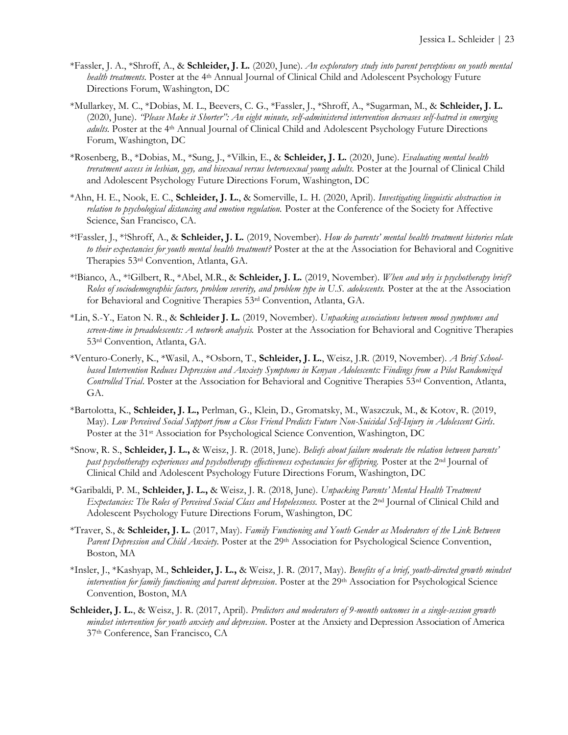- \*Fassler, J. A., \*Shroff, A., & **Schleider, J. L.** (2020, June). *An exploratory study into parent perceptions on youth mental health treatments*. Poster at the 4<sup>th</sup> Annual Journal of Clinical Child and Adolescent Psychology Future Directions Forum, Washington, DC
- \*Mullarkey, M. C., \*Dobias, M. L., Beevers, C. G., \*Fassler, J., \*Shroff, A., \*Sugarman, M., & **Schleider, J. L.** (2020, June). *"Please Make it Shorter": An eight minute, self-administered intervention decreases self-hatred in emerging adults*. Poster at the 4<sup>th</sup> Annual Journal of Clinical Child and Adolescent Psychology Future Directions Forum, Washington, DC
- \*Rosenberg, B., \*Dobias, M., \*Sung, J., \*Vilkin, E., & **Schleider, J. L.** (2020, June). *Evaluating mental health treratment access in lesbian, gay, and bisexual versus heterosexual young adults.* Poster at the Journal of Clinical Child and Adolescent Psychology Future Directions Forum, Washington, DC
- \*Ahn, H. E., Nook, E. C., **Schleider, J. L.**, & Somerville, L. H. (2020, April). *Investigating linguistic abstraction in relation to psychological distancing and emotion regulation.* Poster at the Conference of the Society for Affective Science, San Francisco, CA.
- \* †Fassler, J., \*†Shroff, A., & **Schleider, J. L.** (2019, November). *How do parents' mental health treatment histories relate to their expectancies for youth mental health treatment?* Poster at the at the Association for Behavioral and Cognitive Therapies 53rd Convention, Atlanta, GA.
- \* †Bianco, A., \*†Gilbert, R., \*Abel, M.R., & **Schleider, J. L.** (2019, November). *When and why is psychotherapy brief? Roles of sociodemographic factors, problem severity, and problem type in U.S. adolescents.* Poster at the at the Association for Behavioral and Cognitive Therapies 53rd Convention, Atlanta, GA.
- \*Lin, S.-Y., Eaton N. R., & **Schleider J. L.** (2019, November). *Unpacking associations between mood symptoms and screen-time in preadolescents: A network analysis.* Poster at the Association for Behavioral and Cognitive Therapies 53rd Convention, Atlanta, GA.
- \*Venturo-Conerly, K., \*Wasil, A., \*Osborn, T., **Schleider, J. L.**, Weisz, J.R. (2019, November). *A Brief Schoolbased Intervention Reduces Depression and Anxiety Symptoms in Kenyan Adolescents: Findings from a Pilot Randomized Controlled Trial*. Poster at the Association for Behavioral and Cognitive Therapies 53rd Convention, Atlanta, GA.
- \*Bartolotta, K., **Schleider, J. L.,** Perlman, G., Klein, D., Gromatsky, M., Waszczuk, M., & Kotov, R. (2019, May). *Low Perceived Social Support from a Close Friend Predicts Future Non-Suicidal Self-Injury in Adolescent Girls*. Poster at the 31<sup>st</sup> Association for Psychological Science Convention, Washington, DC
- \*Snow, R. S., **Schleider, J. L.,** & Weisz, J. R. (2018, June). *Beliefs about failure moderate the relation between parents' past psychotherapy experiences and psychotherapy effectiveness expectancies for offspring.* Poster at the 2<sup>nd</sup> Journal of Clinical Child and Adolescent Psychology Future Directions Forum, Washington, DC
- \*Garibaldi, P. M., **Schleider, J. L.,** & Weisz, J. R. (2018, June). *Unpacking Parents' Mental Health Treatment Expectancies: The Roles of Perceived Social Class and Hopelessness.* Poster at the 2nd Journal of Clinical Child and Adolescent Psychology Future Directions Forum, Washington, DC
- \*Traver, S., & **Schleider, J. L.** (2017, May). *Family Functioning and Youth Gender as Moderators of the Link Between Parent Depression and Child Anxiety*. Poster at the 29<sup>th</sup> Association for Psychological Science Convention, Boston, MA
- \*Insler, J., \*Kashyap, M., **Schleider, J. L.,** & Weisz, J. R. (2017, May). *Benefits of a brief, youth-directed growth mindset intervention for family functioning and parent depression*. Poster at the 29th Association for Psychological Science Convention, Boston, MA
- **Schleider, J. L.**, & Weisz, J. R. (2017, April). *Predictors and moderators of 9-month outcomes in a single-session growth mindset intervention for youth anxiety and depression*. Poster at the Anxiety and Depression Association of America 37th Conference, San Francisco, CA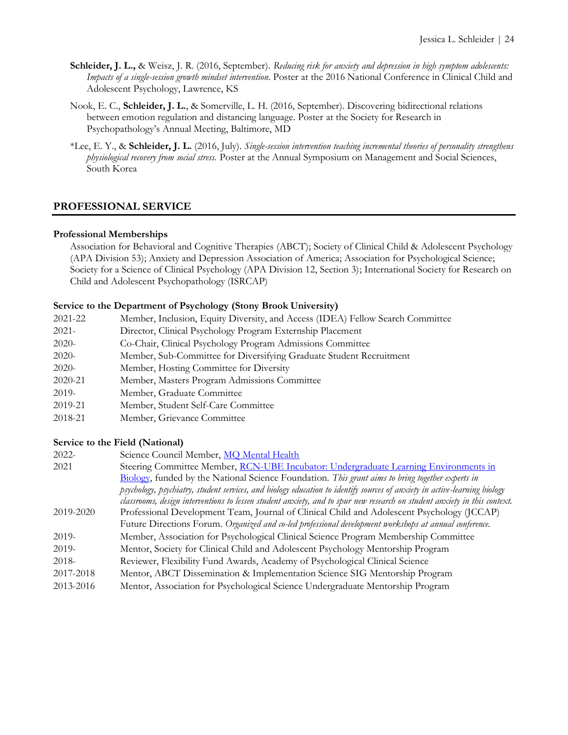- **Schleider, J. L.,** & Weisz, J. R. (2016, September). *Reducing risk for anxiety and depression in high symptom adolescents: Impacts of a single-session growth mindset intervention*. Poster at the 2016 National Conference in Clinical Child and Adolescent Psychology, Lawrence, KS
- Nook, E. C., **Schleider, J. L.**, & Somerville, L. H. (2016, September). Discovering bidirectional relations between emotion regulation and distancing language. Poster at the Society for Research in Psychopathology's Annual Meeting, Baltimore, MD
- \*Lee, E. Y., & **Schleider, J. L.** (2016, July). *Single-session intervention teaching incremental theories of personality strengthens physiological recovery from social stress.* Poster at the Annual Symposium on Management and Social Sciences, South Korea

# **PROFESSIONAL SERVICE**

#### **Professional Memberships**

Association for Behavioral and Cognitive Therapies (ABCT); Society of Clinical Child & Adolescent Psychology (APA Division 53); Anxiety and Depression Association of America; Association for Psychological Science; Society for a Science of Clinical Psychology (APA Division 12, Section 3); International Society for Research on Child and Adolescent Psychopathology (ISRCAP)

# **Service to the Department of Psychology (Stony Brook University)**

| 2021-22 | Member, Inclusion, Equity Diversity, and Access (IDEA) Fellow Search Committee |
|---------|--------------------------------------------------------------------------------|
| 2021-   | Director, Clinical Psychology Program Externship Placement                     |
| 2020-   | Co-Chair, Clinical Psychology Program Admissions Committee                     |
| 2020-   | Member, Sub-Committee for Diversifying Graduate Student Recruitment            |
| 2020-   | Member, Hosting Committee for Diversity                                        |
| 2020-21 | Member, Masters Program Admissions Committee                                   |
| 2019-   | Member, Graduate Committee                                                     |
| 2019-21 | Member, Student Self-Care Committee                                            |
|         |                                                                                |

2018-21 Member, Grievance Committee

#### **Service to the Field (National)**

| $2022 -$  | Science Council Member, MO Mental Health                                                                                  |
|-----------|---------------------------------------------------------------------------------------------------------------------------|
| 2021      | Steering Committee Member, RCN-UBE Incubator: Undergraduate Learning Environments in                                      |
|           | Biology, funded by the National Science Foundation. This grant aims to bring together experts in                          |
|           | psychology, psychiatry, student services, and biology education to identify sources of anxiety in active-learning biology |
|           | classrooms, design interventions to lessen student anxiety, and to spur new research on student anxiety in this context.  |
| 2019-2020 | Professional Development Team, Journal of Clinical Child and Adolescent Psychology (JCCAP)                                |
|           | Future Directions Forum. Organized and co-led professional development workshops at annual conference.                    |
| $2019-$   | Member, Association for Psychological Clinical Science Program Membership Committee                                       |
| $2019-$   | Mentor, Society for Clinical Child and Adolescent Psychology Mentorship Program                                           |
| $2018-$   | Reviewer, Flexibility Fund Awards, Academy of Psychological Clinical Science                                              |
| 2017-2018 | Mentor, ABCT Dissemination & Implementation Science SIG Mentorship Program                                                |
| 2013-2016 | Mentor, Association for Psychological Science Undergraduate Mentorship Program                                            |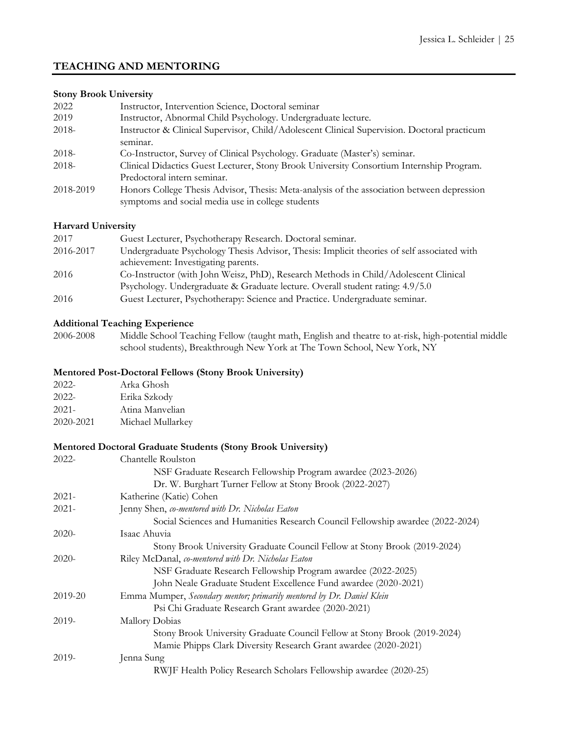# **TEACHING AND MENTORING**

# **Stony Brook University**

| 2022      | Instructor, Intervention Science, Doctoral seminar                                          |
|-----------|---------------------------------------------------------------------------------------------|
| 2019      | Instructor, Abnormal Child Psychology. Undergraduate lecture.                               |
| 2018-     | Instructor & Clinical Supervisor, Child/Adolescent Clinical Supervision. Doctoral practicum |
|           | seminar.                                                                                    |
| 2018-     | Co-Instructor, Survey of Clinical Psychology. Graduate (Master's) seminar.                  |
| $2018-$   | Clinical Didactics Guest Lecturer, Stony Brook University Consortium Internship Program.    |
|           | Predoctoral intern seminar.                                                                 |
| 2018-2019 | Honors College Thesis Advisor, Thesis: Meta-analysis of the association between depression  |
|           | symptoms and social media use in college students                                           |

#### **Harvard University**

| 2017      | Guest Lecturer, Psychotherapy Research. Doctoral seminar.                                  |
|-----------|--------------------------------------------------------------------------------------------|
| 2016-2017 | Undergraduate Psychology Thesis Advisor, Thesis: Implicit theories of self associated with |
|           | achievement: Investigating parents.                                                        |
| 2016      | Co-Instructor (with John Weisz, PhD), Research Methods in Child/Adolescent Clinical        |
|           | Psychology. Undergraduate & Graduate lecture. Overall student rating: 4.9/5.0              |
| 2016      | Guest Lecturer, Psychotherapy: Science and Practice. Undergraduate seminar.                |

#### **Additional Teaching Experience**

2006-2008 Middle School Teaching Fellow (taught math, English and theatre to at-risk, high-potential middle school students), Breakthrough New York at The Town School, New York, NY

#### **Mentored Post-Doctoral Fellows (Stony Brook University)**

| $2022 -$  | Arka Ghosh        |
|-----------|-------------------|
| $2022 -$  | Erika Szkody      |
| $2021 -$  | Atina Manyelian   |
| 2020-2021 | Michael Mullarkey |

# **Mentored Doctoral Graduate Students (Stony Brook University)**

| $2022 -$ | Chantelle Roulston                                                             |
|----------|--------------------------------------------------------------------------------|
|          | NSF Graduate Research Fellowship Program awardee (2023-2026)                   |
|          | Dr. W. Burghart Turner Fellow at Stony Brook (2022-2027)                       |
| $2021 -$ | Katherine (Katie) Cohen                                                        |
| $2021 -$ | Jenny Shen, co-mentored with Dr. Nicholas Eaton                                |
|          | Social Sciences and Humanities Research Council Fellowship awardee (2022-2024) |
| $2020-$  | Isaac Ahuvia                                                                   |
|          | Stony Brook University Graduate Council Fellow at Stony Brook (2019-2024)      |
| $2020-$  | Riley McDanal, co-mentored with Dr. Nicholas Eaton                             |
|          | NSF Graduate Research Fellowship Program awardee (2022-2025)                   |
|          | John Neale Graduate Student Excellence Fund awardee (2020-2021)                |
| 2019-20  | Emma Mumper, Secondary mentor; primarily mentored by Dr. Daniel Klein          |
|          | Psi Chi Graduate Research Grant awardee (2020-2021)                            |
| 2019-    | Mallory Dobias                                                                 |
|          | Stony Brook University Graduate Council Fellow at Stony Brook (2019-2024)      |
|          | Mamie Phipps Clark Diversity Research Grant awardee (2020-2021)                |
| 2019-    | Jenna Sung                                                                     |
|          | RWJF Health Policy Research Scholars Fellowship awardee (2020-25)              |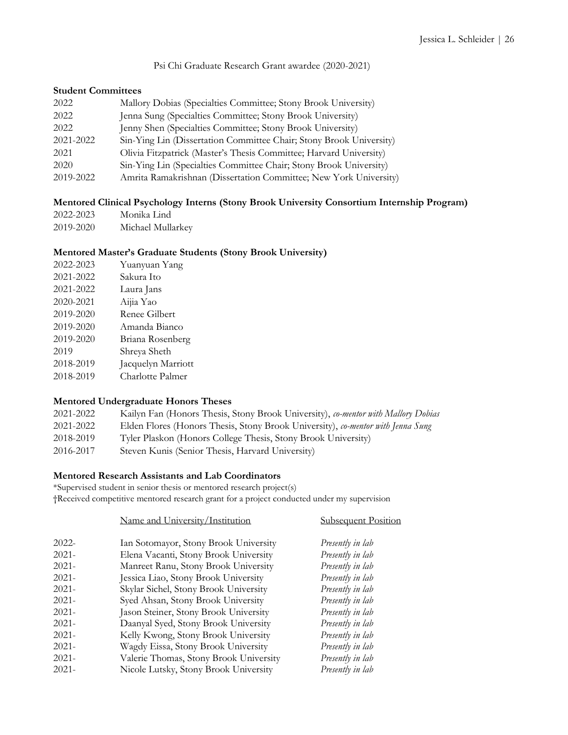Psi Chi Graduate Research Grant awardee (2020-2021)

#### **Student Committees**

| 2022      | Mallory Dobias (Specialties Committee; Stony Brook University)      |
|-----------|---------------------------------------------------------------------|
| 2022      | Jenna Sung (Specialties Committee; Stony Brook University)          |
| 2022      | Jenny Shen (Specialties Committee; Stony Brook University)          |
| 2021-2022 | Sin-Ying Lin (Dissertation Committee Chair; Stony Brook University) |
| 2021      | Olivia Fitzpatrick (Master's Thesis Committee; Harvard University)  |
| 2020      | Sin-Ying Lin (Specialties Committee Chair; Stony Brook University)  |
| 2019-2022 | Amrita Ramakrishnan (Dissertation Committee; New York University)   |

### **Mentored Clinical Psychology Interns (Stony Brook University Consortium Internship Program)**

| 2022-2023 | Monika Lind       |
|-----------|-------------------|
| 2019-2020 | Michael Mullarkey |

#### **Mentored Master's Graduate Students (Stony Brook University)**

| Yuanyuan Yang      |
|--------------------|
| Sakura Ito         |
| Laura Jans         |
| Aijia Yao          |
| Renee Gilbert      |
| Amanda Bianco      |
| Briana Rosenberg   |
| Shreya Sheth       |
| Jacquelyn Marriott |
| Charlotte Palmer   |
|                    |

#### **Mentored Undergraduate Honors Theses**

| 2021-2022 | Kailyn Fan (Honors Thesis, Stony Brook University), co-mentor with Mallory Dobias |
|-----------|-----------------------------------------------------------------------------------|
| 2021-2022 | Elden Flores (Honors Thesis, Stony Brook University), co-mentor with Jenna Sung   |
| 2018-2019 | Tyler Plaskon (Honors College Thesis, Stony Brook University)                     |
| 2016-2017 | Steven Kunis (Senior Thesis, Harvard University)                                  |

# **Mentored Research Assistants and Lab Coordinators**

\*Supervised student in senior thesis or mentored research project(s) †Received competitive mentored research grant for a project conducted under my supervision

|       | Name and University/Institution        | <b>Subsequent Position</b> |
|-------|----------------------------------------|----------------------------|
| 2022- | Ian Sotomayor, Stony Brook University  | Presently in lab           |
| 2021- | Elena Vacanti, Stony Brook University  | Presently in lab           |
| 2021- | Manreet Ranu, Stony Brook University   | Presently in lab           |
| 2021- | Jessica Liao, Stony Brook University   | Presently in lab           |
| 2021- | Skylar Sichel, Stony Brook University  | Presently in lab           |
| 2021- | Syed Ahsan, Stony Brook University     | Presently in lab           |
| 2021- | Jason Steiner, Stony Brook University  | Presently in lab           |
| 2021- | Daanyal Syed, Stony Brook University   | Presently in lab           |
| 2021- | Kelly Kwong, Stony Brook University    | Presently in lab           |
| 2021- | Wagdy Eissa, Stony Brook University    | Presently in lab           |
| 2021- | Valerie Thomas, Stony Brook University | Presently in lab           |
| 2021- | Nicole Lutsky, Stony Brook University  | Presently in lab           |
|       |                                        |                            |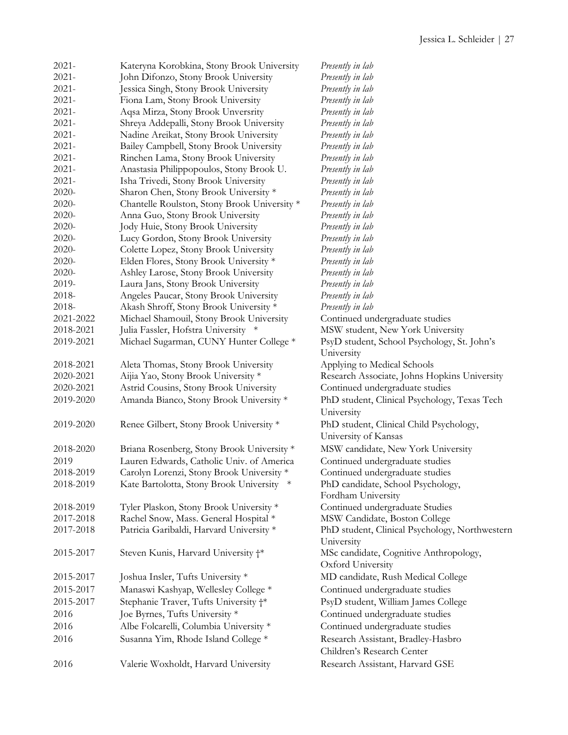| $2021 -$  | Kateryna Korobkina, Stony Brook University   | Presently in lab                               |
|-----------|----------------------------------------------|------------------------------------------------|
| $2021 -$  | John Difonzo, Stony Brook University         | Presently in lab                               |
| $2021 -$  | Jessica Singh, Stony Brook University        | Presently in lab                               |
| $2021 -$  | Fiona Lam, Stony Brook University            | Presently in lab                               |
| $2021 -$  | Aqsa Mirza, Stony Brook Unversrity           | Presently in lab                               |
| $2021 -$  | Shreya Addepalli, Stony Brook University     | Presently in lab                               |
| $2021 -$  | Nadine Areikat, Stony Brook University       | Presently in lab                               |
| $2021 -$  | Bailey Campbell, Stony Brook University      | Presently in lab                               |
| $2021 -$  | Rinchen Lama, Stony Brook University         | Presently in lab                               |
| $2021 -$  | Anastasia Philippopoulos, Stony Brook U.     | Presently in lab                               |
| $2021 -$  | Isha Trivedi, Stony Brook University         | Presently in lab                               |
| 2020-     | Sharon Chen, Stony Brook University *        | Presently in lab                               |
|           |                                              |                                                |
| 2020-     | Chantelle Roulston, Stony Brook University * | Presently in lab                               |
| 2020-     | Anna Guo, Stony Brook University             | Presently in lab                               |
| 2020-     | Jody Huie, Stony Brook University            | Presently in lab                               |
| 2020-     | Lucy Gordon, Stony Brook University          | Presently in lab                               |
| 2020-     | Colette Lopez, Stony Brook University        | Presently in lab                               |
| 2020-     | Elden Flores, Stony Brook University *       | Presently in lab                               |
| 2020-     | Ashley Larose, Stony Brook University        | Presently in lab                               |
| 2019-     | Laura Jans, Stony Brook University           | Presently in lab                               |
| 2018-     | Angeles Paucar, Stony Brook University       | Presently in lab                               |
| 2018-     | Akash Shroff, Stony Brook University *       | Presently in lab                               |
| 2021-2022 | Michael Shamouil, Stony Brook University     | Continued undergraduate studies                |
| 2018-2021 | Julia Fassler, Hofstra University *          | MSW student, New York University               |
| 2019-2021 | Michael Sugarman, CUNY Hunter College *      | PsyD student, School Psychology, St. John's    |
|           |                                              | University                                     |
| 2018-2021 | Aleta Thomas, Stony Brook University         | Applying to Medical Schools                    |
| 2020-2021 | Aijia Yao, Stony Brook University *          | Research Associate, Johns Hopkins University   |
| 2020-2021 | Astrid Cousins, Stony Brook University       | Continued undergraduate studies                |
| 2019-2020 | Amanda Bianco, Stony Brook University *      | PhD student, Clinical Psychology, Texas Tech   |
|           |                                              | University                                     |
| 2019-2020 | Renee Gilbert, Stony Brook University *      | PhD student, Clinical Child Psychology,        |
|           |                                              | University of Kansas                           |
| 2018-2020 | Briana Rosenberg, Stony Brook University *   | MSW candidate, New York University             |
| 2019      | Lauren Edwards, Catholic Univ. of America    | Continued undergraduate studies                |
| 2018-2019 | Carolyn Lorenzi, Stony Brook University *    | Continued undergraduate studies                |
| 2018-2019 | Kate Bartolotta, Stony Brook University *    | PhD candidate, School Psychology,              |
|           |                                              | Fordham University                             |
| 2018-2019 | Tyler Plaskon, Stony Brook University *      | Continued undergraduate Studies                |
| 2017-2018 | Rachel Snow, Mass. General Hospital *        | MSW Candidate, Boston College                  |
| 2017-2018 | Patricia Garibaldi, Harvard University *     | PhD student, Clinical Psychology, Northwestern |
|           |                                              | University                                     |
| 2015-2017 | Steven Kunis, Harvard University †*          | MSc candidate, Cognitive Anthropology,         |
|           |                                              | Oxford University                              |
| 2015-2017 | Joshua Insler, Tufts University *            | MD candidate, Rush Medical College             |
| 2015-2017 | Manaswi Kashyap, Wellesley College *         | Continued undergraduate studies                |
| 2015-2017 | Stephanie Traver, Tufts University †*        | PsyD student, William James College            |
| 2016      | Joe Byrnes, Tufts University *               | Continued undergraduate studies                |
|           |                                              |                                                |
| 2016      | Albe Folcarelli, Columbia University *       | Continued undergraduate studies                |
| 2016      | Susanna Yim, Rhode Island College *          | Research Assistant, Bradley-Hasbro             |
|           |                                              | Children's Research Center                     |
| 2016      | Valerie Woxholdt, Harvard University         | Research Assistant, Harvard GSE                |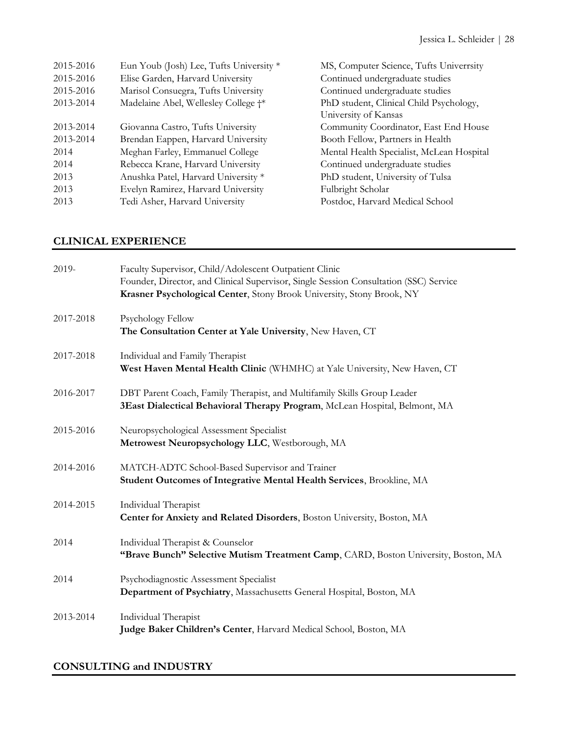| 2015-2016 | Eun Youb (Josh) Lee, Tufts University * | MS, Computer Science, Tufts Univerrsity   |
|-----------|-----------------------------------------|-------------------------------------------|
| 2015-2016 | Elise Garden, Harvard University        | Continued undergraduate studies           |
| 2015-2016 | Marisol Consuegra, Tufts University     | Continued undergraduate studies           |
| 2013-2014 | Madelaine Abel, Wellesley College †*    | PhD student, Clinical Child Psychology,   |
|           |                                         | University of Kansas                      |
| 2013-2014 | Giovanna Castro, Tufts University       | Community Coordinator, East End House     |
| 2013-2014 | Brendan Eappen, Harvard University      | Booth Fellow, Partners in Health          |
| 2014      | Meghan Farley, Emmanuel College         | Mental Health Specialist, McLean Hospital |
| 2014      | Rebecca Krane, Harvard University       | Continued undergraduate studies           |
| 2013      | Anushka Patel, Harvard University *     | PhD student, University of Tulsa          |
| 2013      | Evelyn Ramirez, Harvard University      | Fulbright Scholar                         |
| 2013      | Tedi Asher, Harvard University          | Postdoc, Harvard Medical School           |

# **CLINICAL EXPERIENCE**

| 2019-     | Faculty Supervisor, Child/Adolescent Outpatient Clinic<br>Founder, Director, and Clinical Supervisor, Single Session Consultation (SSC) Service<br>Krasner Psychological Center, Stony Brook University, Stony Brook, NY |
|-----------|--------------------------------------------------------------------------------------------------------------------------------------------------------------------------------------------------------------------------|
| 2017-2018 | Psychology Fellow<br>The Consultation Center at Yale University, New Haven, CT                                                                                                                                           |
| 2017-2018 | Individual and Family Therapist<br>West Haven Mental Health Clinic (WHMHC) at Yale University, New Haven, CT                                                                                                             |
| 2016-2017 | DBT Parent Coach, Family Therapist, and Multifamily Skills Group Leader<br>3East Dialectical Behavioral Therapy Program, McLean Hospital, Belmont, MA                                                                    |
| 2015-2016 | Neuropsychological Assessment Specialist<br>Metrowest Neuropsychology LLC, Westborough, MA                                                                                                                               |
| 2014-2016 | MATCH-ADTC School-Based Supervisor and Trainer<br>Student Outcomes of Integrative Mental Health Services, Brookline, MA                                                                                                  |
| 2014-2015 | Individual Therapist<br>Center for Anxiety and Related Disorders, Boston University, Boston, MA                                                                                                                          |
| 2014      | Individual Therapist & Counselor<br>"Brave Bunch" Selective Mutism Treatment Camp, CARD, Boston University, Boston, MA                                                                                                   |
| 2014      | Psychodiagnostic Assessment Specialist<br>Department of Psychiatry, Massachusetts General Hospital, Boston, MA                                                                                                           |
| 2013-2014 | Individual Therapist<br>Judge Baker Children's Center, Harvard Medical School, Boston, MA                                                                                                                                |

# **CONSULTING and INDUSTRY**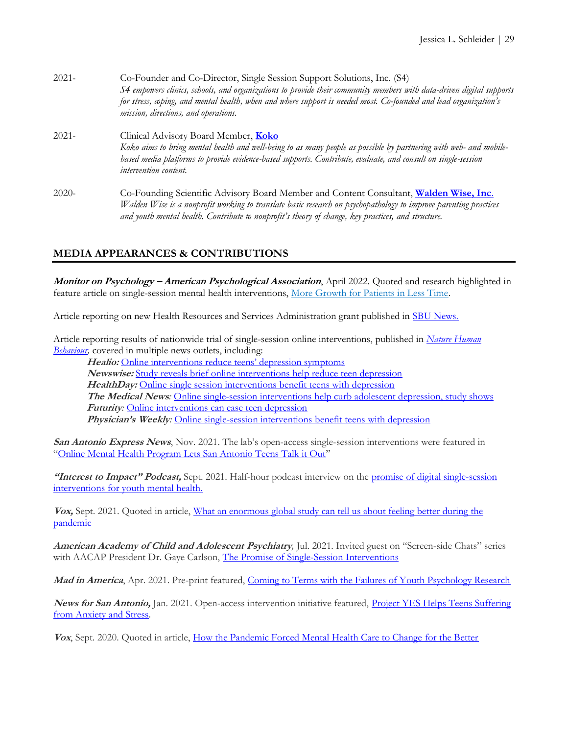| $2021 -$ | Co-Founder and Co-Director, Single Session Support Solutions, Inc. (S4)<br>S4 empowers clinics, schools, and organizations to provide their community members with data-driven digital supports<br>for stress, coping, and mental health, when and where support is needed most. Co-founded and lead organization's<br>mission, directions, and operations. |
|----------|-------------------------------------------------------------------------------------------------------------------------------------------------------------------------------------------------------------------------------------------------------------------------------------------------------------------------------------------------------------|
| $2021 -$ | Clinical Advisory Board Member, Koko<br>Koko aims to bring mental health and well-being to as many people as possible by partnering with web- and mobile-<br>based media platforms to provide evidence-based supports. Contribute, evaluate, and consult on single-session<br>intervention content.                                                         |
| $2020-$  | Co-Founding Scientific Advisory Board Member and Content Consultant, Walden Wise, Inc.<br>Walden Wise is a nonprofit working to translate basic research on psychopathology to improve parenting practices<br>and youth mental health. Contribute to nonprofit's theory of change, key practices, and structure.                                            |

# **MEDIA APPEARANCES & CONTRIBUTIONS**

**Monitor on Psychology – American Psychological Association**, April 2022. Quoted and research highlighted in feature article on single-session mental health interventions, [More Growth for Patients in Less Time.](https://www.apa.org/monitor/2022/04/feature-growth-patients)

Article reporting on new Health Resources and Services Administration grant published in [SBU News.](https://www.stonybrook.edu/aldacenter/story.php?slug=expanding-resilience-among-healthcare-providers)

Article reporting results of nationwide trial of single-session online interventions, published in *[Nature Human](https://doi.org/10.1038/s41562-021-01235-0)  [Behaviour,](https://doi.org/10.1038/s41562-021-01235-0)* covered in multiple news outlets, including:

Healio: [Online interventions reduce teens' depression symptoms](https://www.healio.com/news/primary-care/20220114/online-interventions-reduce-teens-depression-symptoms) **Newswise:** [Study reveals brief online interventions help reduce teen depression](https://www.newswise.com/coronavirus/study-reveals-brief-online-interventions-help-reduce-teen-depression/?article_id=762002) HealthDay: [Online single session interventions benefit teens with depression](http://ct.moreover.com/?a=46568593905&p=1pl&v=1&x=TkyGC5IOzjwcI6iNTmatLQ) **The Medical News***:* [Online single-session interventions help curb adolescent depression, study shows](http://ct.moreover.com/?a=46514966692&p=1pl&v=1&x=mwG_9ZlaQM8KYa8h3BPhBA) **Futurity***:* [Online interventions can ease teen depression](https://www.futurity.org/teen-depression-intervention-2669332-2/?utm_source=rss&utm_medium=rss&utm_campaign=teen-depression-intervention-2669332-2) **Physician's Weekly:** [Online single-session interventions benefit teens with depression](https://www.physiciansweekly.com/online-single-session-interventions-benefit-teens-with-depression/)

**San Antonio Express News**, Nov. 2021. The lab's open-access single-session interventions were featured in "[Online Mental Health Program Lets San Antonio Teens Talk it Out](/Users/jessica.schleider/Documents/CVs/2021/Online%20mental%20health%20program%20lets%20San%20Antonio%20teens%20talk%20it%20out)"

"Interest to Impact" Podcast, Sept. 2021. Half-hour podcast interview on the promise of digital single-session [interventions for youth mental health.](https://www.interesttoimpact.com/podcast-episodes)

**Vox,** Sept. 2021. Quoted in article, [What an enormous global study can tell us about feeling better during the](https://www.vox.com/science-and-health/22641291/global-mental-health-covid-19-cognitive-reappraisal-study)  [pandemic](https://www.vox.com/science-and-health/22641291/global-mental-health-covid-19-cognitive-reappraisal-study)

**American Academy of Child and Adolescent Psychiatry***,* Jul. 2021. Invited guest on "Screen-side Chats" series with AACAP President Dr. Gaye Carlson, [The Promise of Single-Session Interventions](https://www.youtube.com/watch?v=kgx70pvPyww&ab_channel=AmericanAcademyofChildandAdolescentPsychiatry)

Mad in America, Apr. 2021. Pre-print featured, [Coming to Terms with the Failures of Youth Psychology Research](https://www.madinamerica.com/2021/04/coming-terms-failures-youth-psychology-research/)

**News for San Antonio,** Jan. 2021. Open-access intervention initiative featured, [Project YES Helps Teens Suffering](https://news4sanantonio.com/news/local/project-yes-helps-teens-suffering-from-anxiety-and-stress)  [from Anxiety and Stress.](https://news4sanantonio.com/news/local/project-yes-helps-teens-suffering-from-anxiety-and-stress) 

Vox, Sept. 2020. Quoted in article, [How the Pandemic Forced Mental Health Care to Change for the Better](https://www.vox.com/science-and-health/21427156/what-is-teletherapy-mental-health-online-pandemic)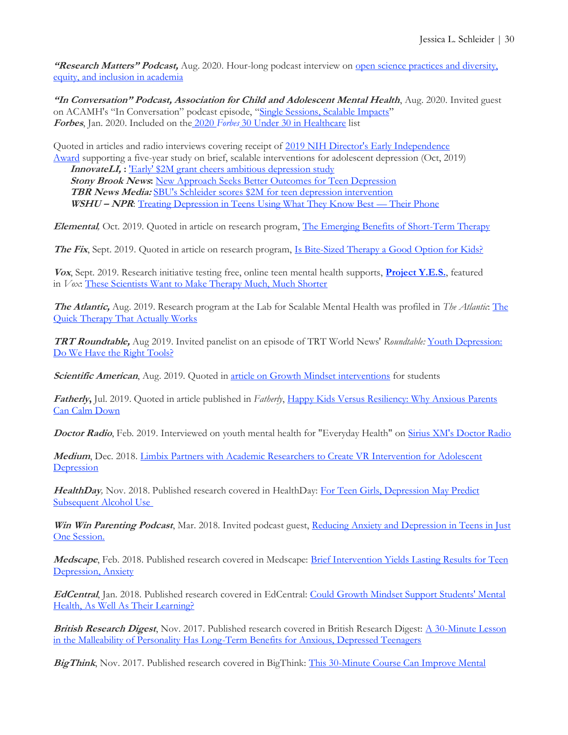**"Research Matters" Podcast,** Aug. 2020. Hour-long podcast interview on [open science practices and diversity,](https://researchmatters.libsyn.com/jessica-schleider-phd-on-open-science-and-replicability-practices-and-diversity-equity-and-inclusion-in-academia)  equity, and [inclusion in academia](https://researchmatters.libsyn.com/jessica-schleider-phd-on-open-science-and-replicability-practices-and-diversity-equity-and-inclusion-in-academia)

**"In Conversation" Podcast, Association for Child and Adolescent Mental Health**, Aug. 2020. Invited guest on ACAMH's "In Conversation" podcast episode, "[Single Sessions, Scalable Impacts](https://www.acamh.org/podcasts/dr-jessica-schlieder-single-sessions-scalable-impact-in-conversation/)" **Forbes**, Jan. 2020. Included on the 2020 *Forbes* [30 Under 30 in Healthcare](https://www.forbes.com/profile/jessica-schleider/?list=30under30-healthcare#2cafc56f6ff5) list

Quoted in articles and radio interviews covering receipt of [2019 NIH Director's Early Independence](https://commonfund.nih.gov/earlyindependence)  [Award](https://commonfund.nih.gov/earlyindependence) supporting a five-year study on brief, scalable interventions for adolescent depression (Oct, 2019) **InnovateLI, :** ['Early' \\$2M grant cheers ambitious depression study](http://www.innovateli.com/early-2m-grant-cheers-ambitious-depression-study/) **Stony Brook News:** [New Approach Seeks Better Outcomes for Teen Depression](https://news.stonybrook.edu/newsroom/press-release/awards/new-approach-seeks-better-outcomes-for-teen-depression/?fbclid=IwAR2nQbUXZSn63tA4ZtW7chiT_vIeLBO8JZmi2v0mPovUHrKdo8Dkj49ZLXk) **TBR News Media:** SBU's Schleider scores \$2M [for teen depression intervention](http://tbrnewsmedia.com/sbus-schleider-scores-2-mln-for-teen-depression-intervention/) **WSHU – NPR**: [Treating Depression in Teens Using What They Know Best](https://www.wshu.org/post/treating-depression-teens-using-what-they-know-best-their-phone#stream/0) — Their Phone

**Elemental***,* Oct. 2019. Quoted in article on research program, [The Emerging Benefits of Short-Term Therapy](https://elemental.medium.com/the-emerging-benefits-of-short-term-therapy-1dc5058d0e0)

**The Fix**, Sept. 2019. Quoted in article on research program, *Is Bite-Sized Therapy a Good Option for Kids?* 

**Vox**, Sept. 2019. Research initiative testing free, online teen mental health supports, **[Project Y.E.S.](http://www.schleiderlab.org/yes.html)**, featured in *Vox*: [These Scientists Want to Make Therapy Much, Much Shorter](https://www.vox.com/science-and-health/2019/9/17/20827011/teen-depression-anxiety-treatment-single-session)

**The Atlantic,** Aug. 2019. Research program at the Lab for Scalable Mental Health was profiled in *The Atlantic*: [The](https://www.theatlantic.com/health/archive/2019/08/can-you-just-got-therapy-once/596359/?utm_source=feed&fbclid=IwAR1eMlXpkW7VE3RIdAuCPzZMcN37eigRN5WW7jnV60RD9Ef-H8cFYaBs9_w)  [Quick Therapy That Actually Works](https://www.theatlantic.com/health/archive/2019/08/can-you-just-got-therapy-once/596359/?utm_source=feed&fbclid=IwAR1eMlXpkW7VE3RIdAuCPzZMcN37eigRN5WW7jnV60RD9Ef-H8cFYaBs9_w)

**TRT Roundtable,** Aug 2019. Invited panelist on an episode of TRT World News' *Roundtable:* [Youth Depression:](https://www.trtworld.com/video/roundtable/youth-depression-causes-do-we-have-the-right-tools/5d55543c04fa2f41c1ddcca8)  [Do We Have the Right Tools?](https://www.trtworld.com/video/roundtable/youth-depression-causes-do-we-have-the-right-tools/5d55543c04fa2f41c1ddcca8)

**Scientific American**, Aug. 2019. Quoted in [article on Growth Mindset interventions](https://www.scientificamerican.com/article/debate-arises-over-teaching-growth-mindsets-to-motivate-students/) for students

**Fatherly,** Jul. 2019. Quoted in article published in *Fatherly*, [Happy Kids Versus Resiliency: Why Anxious Parents](https://www.fatherly.com/love-money/resiliency-versus-happy-kids-anxious-parents-calm-down/)  [Can Calm Down](https://www.fatherly.com/love-money/resiliency-versus-happy-kids-anxious-parents-calm-down/)

**Doctor Radio**, Feb. 2019. Interviewed on youth mental health for "Everyday Health" on [Sirius XM's Doctor Radio](https://siriusxm.com/doctorradio)

**Medium**, Dec. 2018. [Limbix Partners with Academic Researchers to Create VR Intervention for Adolescent](https://blog.limbix.com/limbix-partners-with-academic-researchers-to-create-vr-intervention-for-adolescent-depression-f4917941c011)  **[Depression](https://blog.limbix.com/limbix-partners-with-academic-researchers-to-create-vr-intervention-for-adolescent-depression-f4917941c011)** 

**HealthDay***,* Nov. 2018. Published research covered in HealthDay: [For Teen Girls, Depression May Predict](https://www.physiciansbriefing.com/psychiatry-16/depression-news-176/for-teen-girls-depression-may-predict-subsequent-alcohol-use-740060.html)  [Subsequent Alcohol Use](https://www.physiciansbriefing.com/psychiatry-16/depression-news-176/for-teen-girls-depression-may-predict-subsequent-alcohol-use-740060.html)

**Win Win Parenting Podcast**, Mar. 2018. Invited podcast guest, [Reducing Anxiety and Depression in Teens in Just](http://www.drrosina.com/blog/reducing-anxiety-and-depression-in-teens-in-just-one-session-learn-how)  [One Session.](http://www.drrosina.com/blog/reducing-anxiety-and-depression-in-teens-in-just-one-session-learn-how)

**Medscape**, Feb. 2018. Published research covered in Medscape: [Brief Intervention Yields Lasting Results for Teen](https://www.medscape.com/viewarticle/892144)  [Depression, Anxiety](https://www.medscape.com/viewarticle/892144)

**EdCentral**, Jan. 2018. Published research covered in EdCentral: [Could Growth Mindset Support Students' Mental](https://edcentral.uk/edblog/expert-insight/growth-mindset-students-mental-health-learning)  [Health, As Well As Their Learning?](https://edcentral.uk/edblog/expert-insight/growth-mindset-students-mental-health-learning)

**British Research Digest**, Nov. 2017. Published research covered in British Research Digest: A 30-Minute Lesson [in the Malleability of Personality Has Long-Term Benefits for Anxious, Depressed Teenagers](https://digest.bps.org.uk/2017/11/08/a-30-minute-lesson-in-the-malleability-of-personality-has-long-term-benefits-for-anxious-depressed-teenagers/)

**BigThink**, Nov. 2017. Published research covered in BigThink: [This 30-Minute Course Can Improve Mental](http://bigthink.com/articles/this-30-minute-course-can-improve-mental-health-should-every-school-have-it)